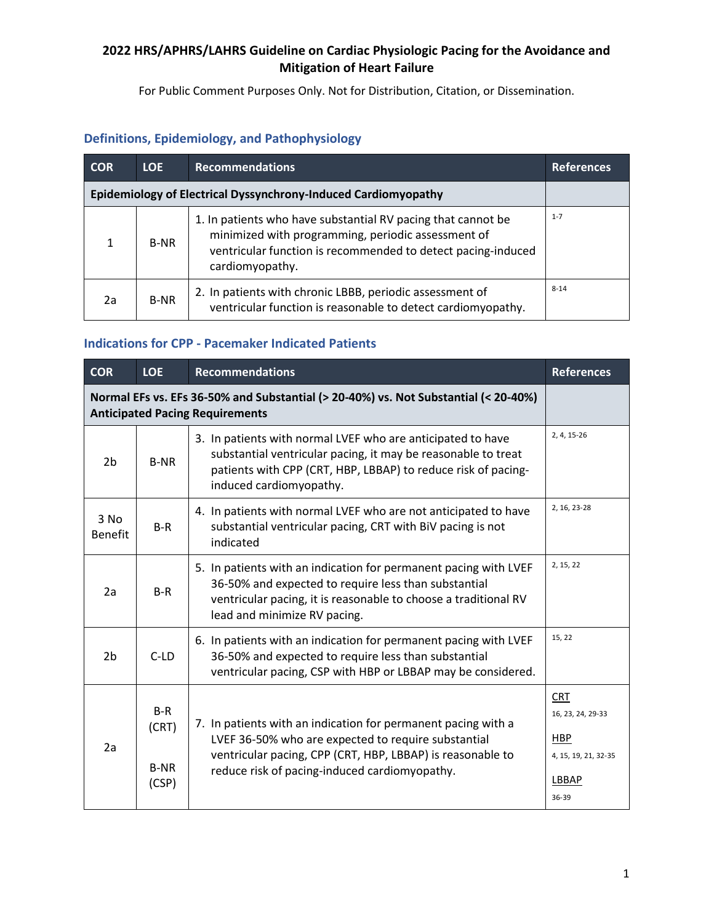For Public Comment Purposes Only. Not for Distribution, Citation, or Dissemination.

## **Definitions, Epidemiology, and Pathophysiology**

| <b>COR</b>                                                     | LOE.        | <b>Recommendations</b>                                                                                                                                                                                | <b>References</b> |  |
|----------------------------------------------------------------|-------------|-------------------------------------------------------------------------------------------------------------------------------------------------------------------------------------------------------|-------------------|--|
| Epidemiology of Electrical Dyssynchrony-Induced Cardiomyopathy |             |                                                                                                                                                                                                       |                   |  |
| 1                                                              | <b>B-NR</b> | 1. In patients who have substantial RV pacing that cannot be<br>minimized with programming, periodic assessment of<br>ventricular function is recommended to detect pacing-induced<br>cardiomyopathy. | $1 - 7$           |  |
| 2a                                                             | <b>B-NR</b> | 2. In patients with chronic LBBB, periodic assessment of<br>ventricular function is reasonable to detect cardiomyopathy.                                                                              | $8 - 14$          |  |

## **Indications for CPP - Pacemaker Indicated Patients**

| <b>COR</b>             | <b>LOE</b>                                                                                                                    | <b>Recommendations</b>                                                                                                                                                                                                              | <b>References</b>                                                                |  |  |
|------------------------|-------------------------------------------------------------------------------------------------------------------------------|-------------------------------------------------------------------------------------------------------------------------------------------------------------------------------------------------------------------------------------|----------------------------------------------------------------------------------|--|--|
|                        | Normal EFs vs. EFs 36-50% and Substantial (> 20-40%) vs. Not Substantial (< 20-40%)<br><b>Anticipated Pacing Requirements</b> |                                                                                                                                                                                                                                     |                                                                                  |  |  |
| 2 <sub>b</sub>         | <b>B-NR</b>                                                                                                                   | 3. In patients with normal LVEF who are anticipated to have<br>substantial ventricular pacing, it may be reasonable to treat<br>patients with CPP (CRT, HBP, LBBAP) to reduce risk of pacing-<br>induced cardiomyopathy.            | 2, 4, 15-26                                                                      |  |  |
| 3 No<br><b>Benefit</b> | $B-R$                                                                                                                         | 4. In patients with normal LVEF who are not anticipated to have<br>substantial ventricular pacing, CRT with BiV pacing is not<br>indicated                                                                                          | 2, 16, 23-28                                                                     |  |  |
| 2a                     | $B-R$                                                                                                                         | 5. In patients with an indication for permanent pacing with LVEF<br>36-50% and expected to require less than substantial<br>ventricular pacing, it is reasonable to choose a traditional RV<br>lead and minimize RV pacing.         | 2, 15, 22                                                                        |  |  |
| 2 <sub>b</sub>         | $C$ -LD                                                                                                                       | 6. In patients with an indication for permanent pacing with LVEF<br>36-50% and expected to require less than substantial<br>ventricular pacing, CSP with HBP or LBBAP may be considered.                                            | 15, 22                                                                           |  |  |
| 2a                     | $B-R$<br>(CRT)<br><b>B-NR</b><br>(CSP)                                                                                        | 7. In patients with an indication for permanent pacing with a<br>LVEF 36-50% who are expected to require substantial<br>ventricular pacing, CPP (CRT, HBP, LBBAP) is reasonable to<br>reduce risk of pacing-induced cardiomyopathy. | <b>CRT</b><br>16, 23, 24, 29-33<br>HBP<br>4, 15, 19, 21, 32-35<br>LBBAP<br>36-39 |  |  |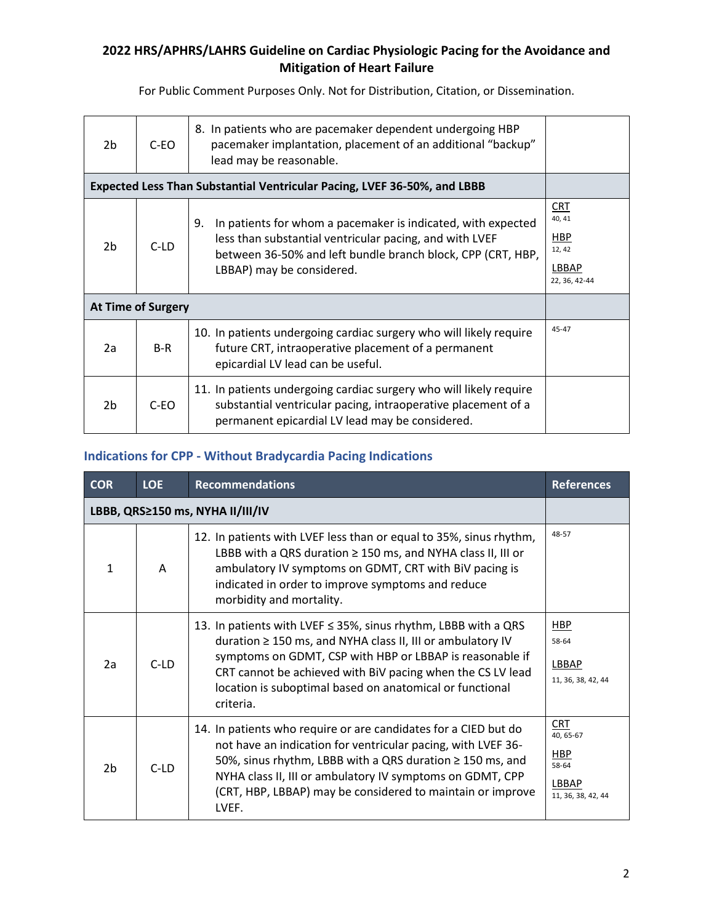For Public Comment Purposes Only. Not for Distribution, Citation, or Dissemination.

| 2 <sub>b</sub>                                                           | C-EO   | 8. In patients who are pacemaker dependent undergoing HBP<br>pacemaker implantation, placement of an additional "backup"<br>lead may be reasonable.                                                                       |                                                                |  |
|--------------------------------------------------------------------------|--------|---------------------------------------------------------------------------------------------------------------------------------------------------------------------------------------------------------------------------|----------------------------------------------------------------|--|
| Expected Less Than Substantial Ventricular Pacing, LVEF 36-50%, and LBBB |        |                                                                                                                                                                                                                           |                                                                |  |
| 2 <sub>b</sub>                                                           | $C-LD$ | In patients for whom a pacemaker is indicated, with expected<br>9.<br>less than substantial ventricular pacing, and with LVEF<br>between 36-50% and left bundle branch block, CPP (CRT, HBP,<br>LBBAP) may be considered. | CRT<br>40.41<br><b>HBP</b><br>12, 42<br>LBBAP<br>22, 36, 42-44 |  |
| <b>At Time of Surgery</b>                                                |        |                                                                                                                                                                                                                           |                                                                |  |
| 2a                                                                       | $B-R$  | 10. In patients undergoing cardiac surgery who will likely require<br>future CRT, intraoperative placement of a permanent<br>epicardial LV lead can be useful.                                                            | $45 - 47$                                                      |  |
| 2 <sub>b</sub>                                                           | $C-EO$ | 11. In patients undergoing cardiac surgery who will likely require<br>substantial ventricular pacing, intraoperative placement of a<br>permanent epicardial LV lead may be considered.                                    |                                                                |  |

## **Indications for CPP - Without Bradycardia Pacing Indications**

| <b>COR</b>     | <b>LOE</b> | <b>Recommendations</b>                                                                                                                                                                                                                                                                                                           | <b>References</b>                                                             |
|----------------|------------|----------------------------------------------------------------------------------------------------------------------------------------------------------------------------------------------------------------------------------------------------------------------------------------------------------------------------------|-------------------------------------------------------------------------------|
|                |            | LBBB, QRS≥150 ms, NYHA II/III/IV                                                                                                                                                                                                                                                                                                 |                                                                               |
| $\mathbf{1}$   | A          | 12. In patients with LVEF less than or equal to 35%, sinus rhythm,<br>LBBB with a QRS duration $\geq$ 150 ms, and NYHA class II, III or<br>ambulatory IV symptoms on GDMT, CRT with BiV pacing is<br>indicated in order to improve symptoms and reduce<br>morbidity and mortality.                                               | 48-57                                                                         |
| 2a             | $C-LD$     | 13. In patients with LVEF ≤ 35%, sinus rhythm, LBBB with a QRS<br>duration ≥ 150 ms, and NYHA class II, III or ambulatory IV<br>symptoms on GDMT, CSP with HBP or LBBAP is reasonable if<br>CRT cannot be achieved with BiV pacing when the CS LV lead<br>location is suboptimal based on anatomical or functional<br>criteria.  | HBP<br>58-64<br><b>LBBAP</b><br>11, 36, 38, 42, 44                            |
| 2 <sub>b</sub> | $C-LD$     | 14. In patients who require or are candidates for a CIED but do<br>not have an indication for ventricular pacing, with LVEF 36-<br>50%, sinus rhythm, LBBB with a QRS duration ≥ 150 ms, and<br>NYHA class II, III or ambulatory IV symptoms on GDMT, CPP<br>(CRT, HBP, LBBAP) may be considered to maintain or improve<br>LVEF. | <b>CRT</b><br>40, 65-67<br><b>HBP</b><br>58-64<br>LBBAP<br>11, 36, 38, 42, 44 |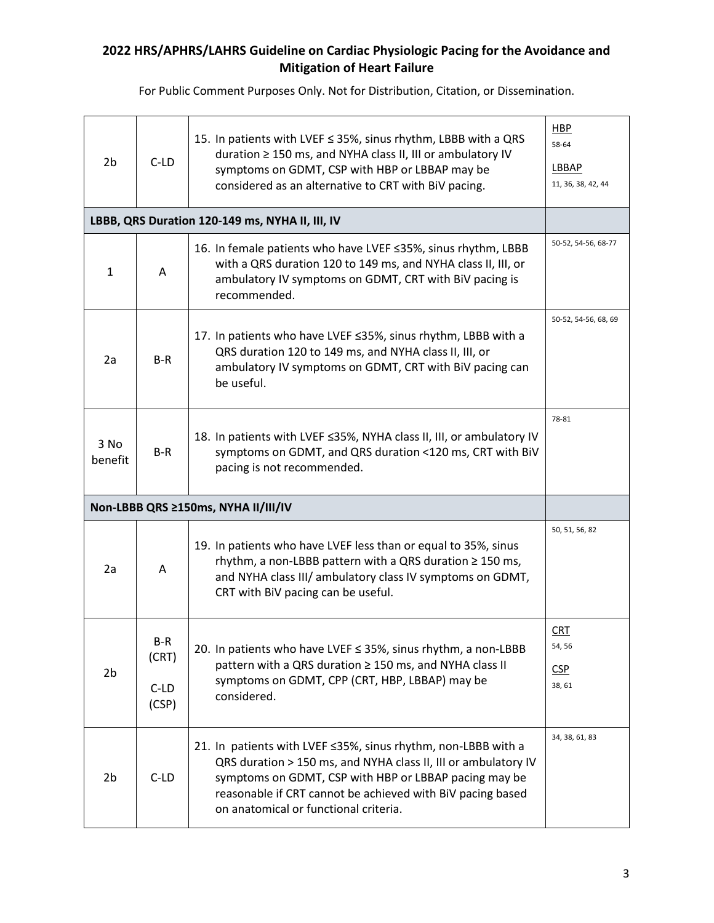| 2 <sub>b</sub>                      | $C-LD$                          | 15. In patients with LVEF ≤ 35%, sinus rhythm, LBBB with a QRS<br>duration ≥ 150 ms, and NYHA class II, III or ambulatory IV<br>symptoms on GDMT, CSP with HBP or LBBAP may be<br>considered as an alternative to CRT with BiV pacing.                                                          | HBP<br>58-64<br>LBBAP<br>11, 36, 38, 42, 44 |
|-------------------------------------|---------------------------------|-------------------------------------------------------------------------------------------------------------------------------------------------------------------------------------------------------------------------------------------------------------------------------------------------|---------------------------------------------|
|                                     |                                 | LBBB, QRS Duration 120-149 ms, NYHA II, III, IV                                                                                                                                                                                                                                                 |                                             |
| $\mathbf{1}$                        | A                               | 16. In female patients who have LVEF ≤35%, sinus rhythm, LBBB<br>with a QRS duration 120 to 149 ms, and NYHA class II, III, or<br>ambulatory IV symptoms on GDMT, CRT with BiV pacing is<br>recommended.                                                                                        | 50-52, 54-56, 68-77                         |
| 2a                                  | $B-R$                           | 17. In patients who have LVEF ≤35%, sinus rhythm, LBBB with a<br>QRS duration 120 to 149 ms, and NYHA class II, III, or<br>ambulatory IV symptoms on GDMT, CRT with BiV pacing can<br>be useful.                                                                                                | 50-52, 54-56, 68, 69                        |
| $3$ No<br>benefit                   | $B-R$                           | 18. In patients with LVEF ≤35%, NYHA class II, III, or ambulatory IV<br>symptoms on GDMT, and QRS duration <120 ms, CRT with BiV<br>pacing is not recommended.                                                                                                                                  | 78-81                                       |
| Non-LBBB QRS ≥150ms, NYHA II/III/IV |                                 |                                                                                                                                                                                                                                                                                                 |                                             |
| 2a                                  | A                               | 19. In patients who have LVEF less than or equal to 35%, sinus<br>rhythm, a non-LBBB pattern with a QRS duration $\geq$ 150 ms,<br>and NYHA class III/ ambulatory class IV symptoms on GDMT,<br>CRT with BiV pacing can be useful.                                                              | 50, 51, 56, 82                              |
| 2 <sub>b</sub>                      | B-R<br>(CRT)<br>$C-LD$<br>(CSP) | 20. In patients who have LVEF ≤ 35%, sinus rhythm, a non-LBBB<br>pattern with a QRS duration ≥ 150 ms, and NYHA class II<br>symptoms on GDMT, CPP (CRT, HBP, LBBAP) may be<br>considered.                                                                                                       | CRT<br>54, 56<br><b>CSP</b><br>38, 61       |
| 2 <sub>b</sub>                      | $C-LD$                          | 21. In patients with LVEF ≤35%, sinus rhythm, non-LBBB with a<br>QRS duration > 150 ms, and NYHA class II, III or ambulatory IV<br>symptoms on GDMT, CSP with HBP or LBBAP pacing may be<br>reasonable if CRT cannot be achieved with BiV pacing based<br>on anatomical or functional criteria. | 34, 38, 61, 83                              |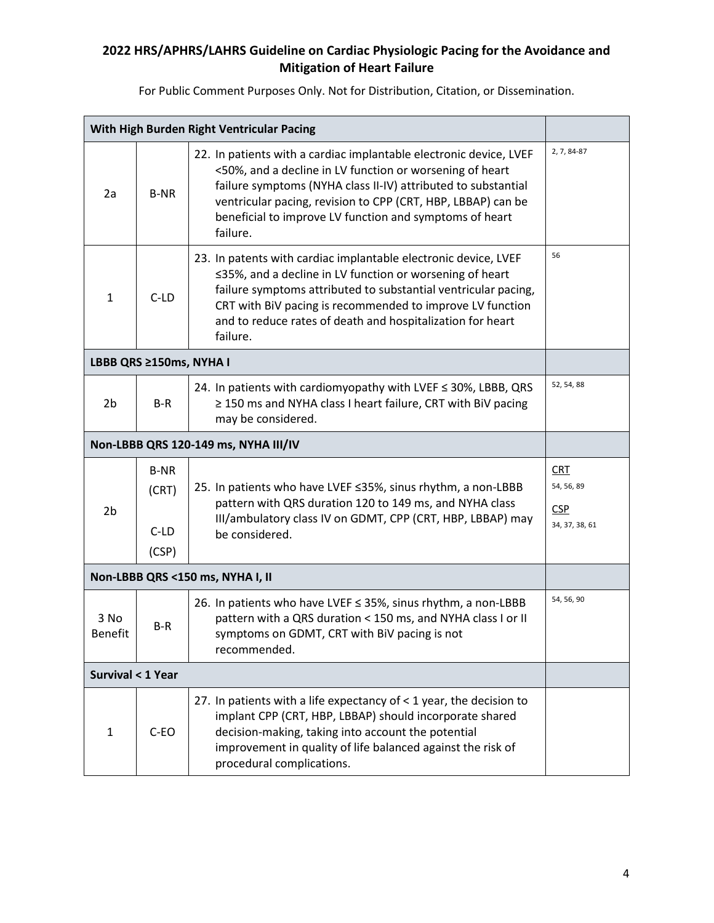|                                      | With High Burden Right Ventricular Pacing |                                                                                                                                                                                                                                                                                                                                        |                                                          |  |
|--------------------------------------|-------------------------------------------|----------------------------------------------------------------------------------------------------------------------------------------------------------------------------------------------------------------------------------------------------------------------------------------------------------------------------------------|----------------------------------------------------------|--|
| 2a                                   | <b>B-NR</b>                               | 22. In patients with a cardiac implantable electronic device, LVEF<br><50%, and a decline in LV function or worsening of heart<br>failure symptoms (NYHA class II-IV) attributed to substantial<br>ventricular pacing, revision to CPP (CRT, HBP, LBBAP) can be<br>beneficial to improve LV function and symptoms of heart<br>failure. | 2, 7, 84-87                                              |  |
| $\mathbf{1}$                         | $C-LD$                                    | 23. In patents with cardiac implantable electronic device, LVEF<br>≤35%, and a decline in LV function or worsening of heart<br>failure symptoms attributed to substantial ventricular pacing,<br>CRT with BiV pacing is recommended to improve LV function<br>and to reduce rates of death and hospitalization for heart<br>failure.   | 56                                                       |  |
|                                      | LBBB QRS ≥150ms, NYHA I                   |                                                                                                                                                                                                                                                                                                                                        |                                                          |  |
| 2 <sub>b</sub>                       | B-R                                       | 24. In patients with cardiomyopathy with LVEF ≤ 30%, LBBB, QRS<br>≥ 150 ms and NYHA class I heart failure, CRT with BiV pacing<br>may be considered.                                                                                                                                                                                   | 52, 54, 88                                               |  |
| Non-LBBB QRS 120-149 ms, NYHA III/IV |                                           |                                                                                                                                                                                                                                                                                                                                        |                                                          |  |
| 2 <sub>b</sub>                       | <b>B-NR</b><br>(CRT)<br>$C-LD$<br>(CSP)   | 25. In patients who have LVEF ≤35%, sinus rhythm, a non-LBBB<br>pattern with QRS duration 120 to 149 ms, and NYHA class<br>III/ambulatory class IV on GDMT, CPP (CRT, HBP, LBBAP) may<br>be considered.                                                                                                                                | <b>CRT</b><br>54, 56, 89<br><b>CSP</b><br>34, 37, 38, 61 |  |
|                                      |                                           | Non-LBBB QRS <150 ms, NYHA I, II                                                                                                                                                                                                                                                                                                       |                                                          |  |
| 3 No<br>Benefit                      | B-R                                       | 26. In patients who have LVEF ≤ 35%, sinus rhythm, a non-LBBB<br>pattern with a QRS duration < 150 ms, and NYHA class I or II<br>symptoms on GDMT, CRT with BiV pacing is not<br>recommended.                                                                                                                                          | 54, 56, 90                                               |  |
| <b>Survival &lt; 1 Year</b>          |                                           |                                                                                                                                                                                                                                                                                                                                        |                                                          |  |
| $\mathbf{1}$                         | C-EO                                      | 27. In patients with a life expectancy of $<$ 1 year, the decision to<br>implant CPP (CRT, HBP, LBBAP) should incorporate shared<br>decision-making, taking into account the potential<br>improvement in quality of life balanced against the risk of<br>procedural complications.                                                     |                                                          |  |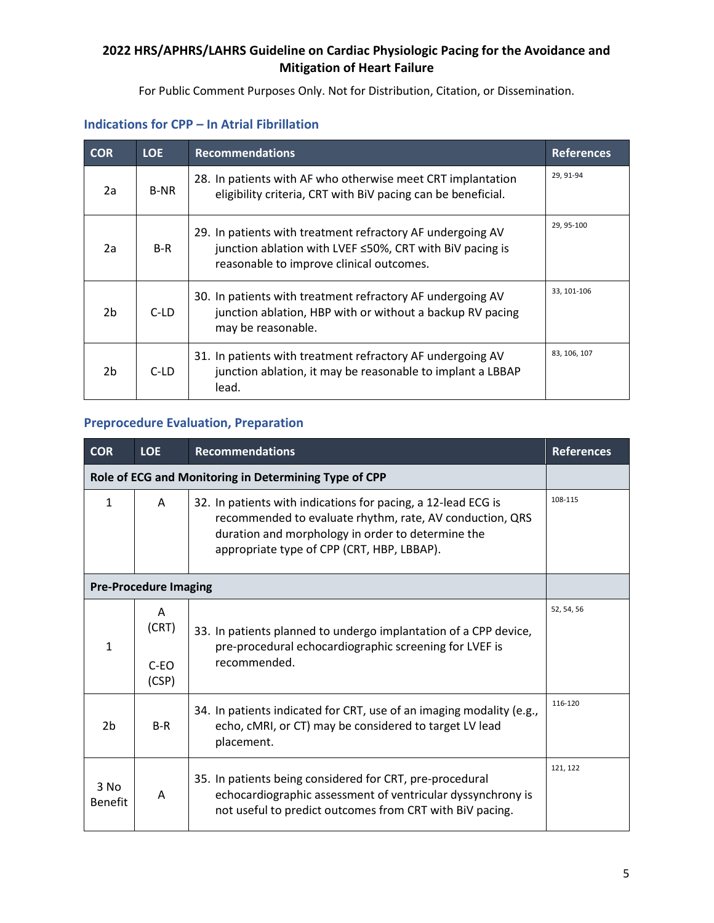For Public Comment Purposes Only. Not for Distribution, Citation, or Dissemination.

| <b>COR</b>     | <b>LOE</b>  | <b>Recommendations</b>                                                                                                                                             | <b>References</b> |
|----------------|-------------|--------------------------------------------------------------------------------------------------------------------------------------------------------------------|-------------------|
| 2a             | <b>B-NR</b> | 28. In patients with AF who otherwise meet CRT implantation<br>eligibility criteria, CRT with BiV pacing can be beneficial.                                        | 29, 91-94         |
| 2a             | $B-R$       | 29. In patients with treatment refractory AF undergoing AV<br>junction ablation with LVEF ≤50%, CRT with BiV pacing is<br>reasonable to improve clinical outcomes. | 29, 95-100        |
| 2 <sub>b</sub> | C-LD        | 30. In patients with treatment refractory AF undergoing AV<br>junction ablation, HBP with or without a backup RV pacing<br>may be reasonable.                      | 33, 101-106       |
| 2 <sub>b</sub> | C-LD        | 31. In patients with treatment refractory AF undergoing AV<br>junction ablation, it may be reasonable to implant a LBBAP<br>lead.                                  | 83, 106, 107      |

# **Indications for CPP – In Atrial Fibrillation**

## **Preprocedure Evaluation, Preparation**

| <b>COR</b>        | <b>LOE</b>                    | <b>Recommendations</b>                                                                                                                                                                                                       | <b>References</b> |
|-------------------|-------------------------------|------------------------------------------------------------------------------------------------------------------------------------------------------------------------------------------------------------------------------|-------------------|
|                   |                               | Role of ECG and Monitoring in Determining Type of CPP                                                                                                                                                                        |                   |
| 1                 | A                             | 32. In patients with indications for pacing, a 12-lead ECG is<br>recommended to evaluate rhythm, rate, AV conduction, QRS<br>duration and morphology in order to determine the<br>appropriate type of CPP (CRT, HBP, LBBAP). | 108-115           |
|                   | <b>Pre-Procedure Imaging</b>  |                                                                                                                                                                                                                              |                   |
| 1                 | A<br>(CRT)<br>$C-EO$<br>(CSP) | 33. In patients planned to undergo implantation of a CPP device,<br>pre-procedural echocardiographic screening for LVEF is<br>recommended.                                                                                   | 52, 54, 56        |
| 2 <sub>b</sub>    | $B-R$                         | 34. In patients indicated for CRT, use of an imaging modality (e.g.,<br>echo, cMRI, or CT) may be considered to target LV lead<br>placement.                                                                                 | 116-120           |
| $3$ No<br>Benefit | A                             | 35. In patients being considered for CRT, pre-procedural<br>echocardiographic assessment of ventricular dyssynchrony is<br>not useful to predict outcomes from CRT with BiV pacing.                                          | 121, 122          |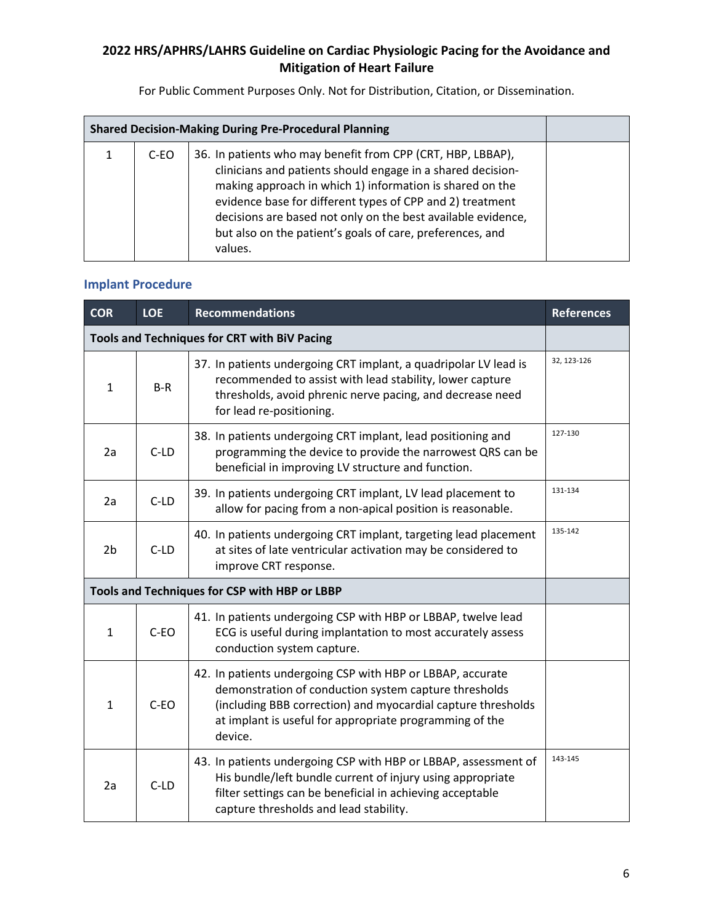For Public Comment Purposes Only. Not for Distribution, Citation, or Dissemination.

| <b>Shared Decision-Making During Pre-Procedural Planning</b> |      |                                                                                                                                                                                                                                                                                                                                                                                             |  |
|--------------------------------------------------------------|------|---------------------------------------------------------------------------------------------------------------------------------------------------------------------------------------------------------------------------------------------------------------------------------------------------------------------------------------------------------------------------------------------|--|
|                                                              | C-EO | 36. In patients who may benefit from CPP (CRT, HBP, LBBAP),<br>clinicians and patients should engage in a shared decision-<br>making approach in which 1) information is shared on the<br>evidence base for different types of CPP and 2) treatment<br>decisions are based not only on the best available evidence,<br>but also on the patient's goals of care, preferences, and<br>values. |  |

## **Implant Procedure**

| <b>COR</b>                                    | <b>LOE</b> | <b>Recommendations</b>                                                                                                                                                                                                                                    | <b>References</b> |
|-----------------------------------------------|------------|-----------------------------------------------------------------------------------------------------------------------------------------------------------------------------------------------------------------------------------------------------------|-------------------|
|                                               |            | Tools and Techniques for CRT with BiV Pacing                                                                                                                                                                                                              |                   |
| $\mathbf{1}$                                  | $B-R$      | 37. In patients undergoing CRT implant, a quadripolar LV lead is<br>recommended to assist with lead stability, lower capture<br>thresholds, avoid phrenic nerve pacing, and decrease need<br>for lead re-positioning.                                     | 32, 123-126       |
| 2a                                            | $C-LD$     | 38. In patients undergoing CRT implant, lead positioning and<br>programming the device to provide the narrowest QRS can be<br>beneficial in improving LV structure and function.                                                                          | 127-130           |
| 2a                                            | $C-LD$     | 39. In patients undergoing CRT implant, LV lead placement to<br>allow for pacing from a non-apical position is reasonable.                                                                                                                                | 131-134           |
| 2 <sub>b</sub>                                | $C-LD$     | 40. In patients undergoing CRT implant, targeting lead placement<br>at sites of late ventricular activation may be considered to<br>improve CRT response.                                                                                                 | 135-142           |
| Tools and Techniques for CSP with HBP or LBBP |            |                                                                                                                                                                                                                                                           |                   |
| $\mathbf{1}$                                  | $C-EO$     | 41. In patients undergoing CSP with HBP or LBBAP, twelve lead<br>ECG is useful during implantation to most accurately assess<br>conduction system capture.                                                                                                |                   |
| $\mathbf{1}$                                  | $C-EO$     | 42. In patients undergoing CSP with HBP or LBBAP, accurate<br>demonstration of conduction system capture thresholds<br>(including BBB correction) and myocardial capture thresholds<br>at implant is useful for appropriate programming of the<br>device. |                   |
| 2a                                            | $C-LD$     | 43. In patients undergoing CSP with HBP or LBBAP, assessment of<br>His bundle/left bundle current of injury using appropriate<br>filter settings can be beneficial in achieving acceptable<br>capture thresholds and lead stability.                      | 143-145           |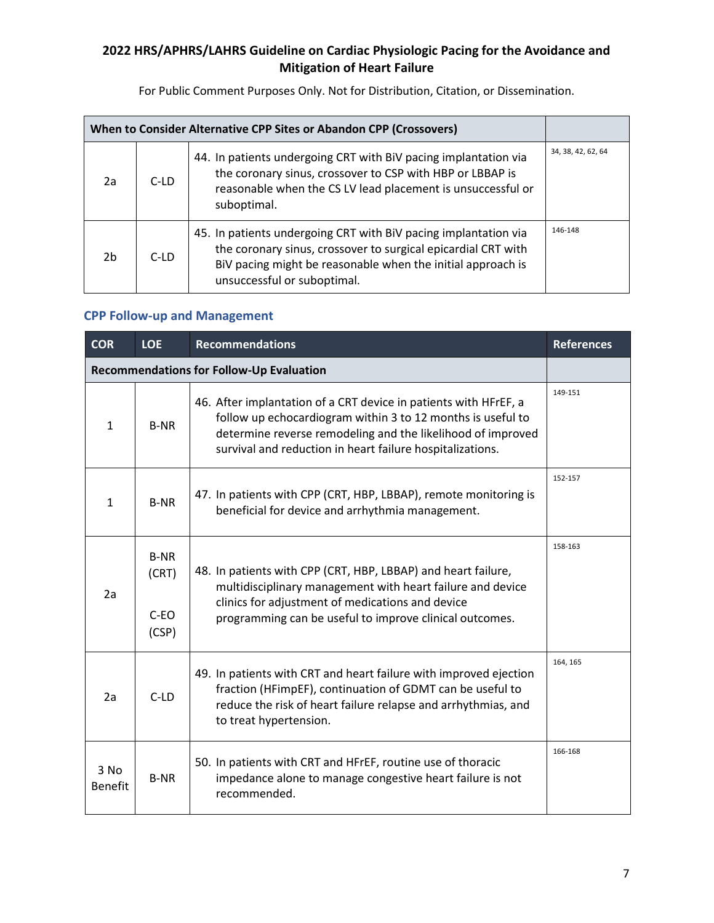For Public Comment Purposes Only. Not for Distribution, Citation, or Dissemination.

| When to Consider Alternative CPP Sites or Abandon CPP (Crossovers) |      |                                                                                                                                                                                                                                |                    |
|--------------------------------------------------------------------|------|--------------------------------------------------------------------------------------------------------------------------------------------------------------------------------------------------------------------------------|--------------------|
| 2a                                                                 | C-LD | 44. In patients undergoing CRT with BiV pacing implantation via<br>the coronary sinus, crossover to CSP with HBP or LBBAP is<br>reasonable when the CS LV lead placement is unsuccessful or<br>suboptimal.                     | 34, 38, 42, 62, 64 |
| 2 <sub>b</sub>                                                     | C-LD | 45. In patients undergoing CRT with BiV pacing implantation via<br>the coronary sinus, crossover to surgical epicardial CRT with<br>BiV pacing might be reasonable when the initial approach is<br>unsuccessful or suboptimal. | 146-148            |

# **CPP Follow-up and Management**

| <b>COR</b>                                      | <b>LOE</b>                              | <b>Recommendations</b>                                                                                                                                                                                                                                      | <b>References</b> |
|-------------------------------------------------|-----------------------------------------|-------------------------------------------------------------------------------------------------------------------------------------------------------------------------------------------------------------------------------------------------------------|-------------------|
| <b>Recommendations for Follow-Up Evaluation</b> |                                         |                                                                                                                                                                                                                                                             |                   |
| $\mathbf{1}$                                    | <b>B-NR</b>                             | 46. After implantation of a CRT device in patients with HFrEF, a<br>follow up echocardiogram within 3 to 12 months is useful to<br>determine reverse remodeling and the likelihood of improved<br>survival and reduction in heart failure hospitalizations. | 149-151           |
| $\mathbf{1}$                                    | <b>B-NR</b>                             | 47. In patients with CPP (CRT, HBP, LBBAP), remote monitoring is<br>beneficial for device and arrhythmia management.                                                                                                                                        | 152-157           |
| 2a                                              | <b>B-NR</b><br>(CRT)<br>$C-EO$<br>(CSP) | 48. In patients with CPP (CRT, HBP, LBBAP) and heart failure,<br>multidisciplinary management with heart failure and device<br>clinics for adjustment of medications and device<br>programming can be useful to improve clinical outcomes.                  | 158-163           |
| 2a                                              | $C-LD$                                  | 49. In patients with CRT and heart failure with improved ejection<br>fraction (HFimpEF), continuation of GDMT can be useful to<br>reduce the risk of heart failure relapse and arrhythmias, and<br>to treat hypertension.                                   | 164, 165          |
| 3 No<br><b>Benefit</b>                          | <b>B-NR</b>                             | 50. In patients with CRT and HFrEF, routine use of thoracic<br>impedance alone to manage congestive heart failure is not<br>recommended.                                                                                                                    | 166-168           |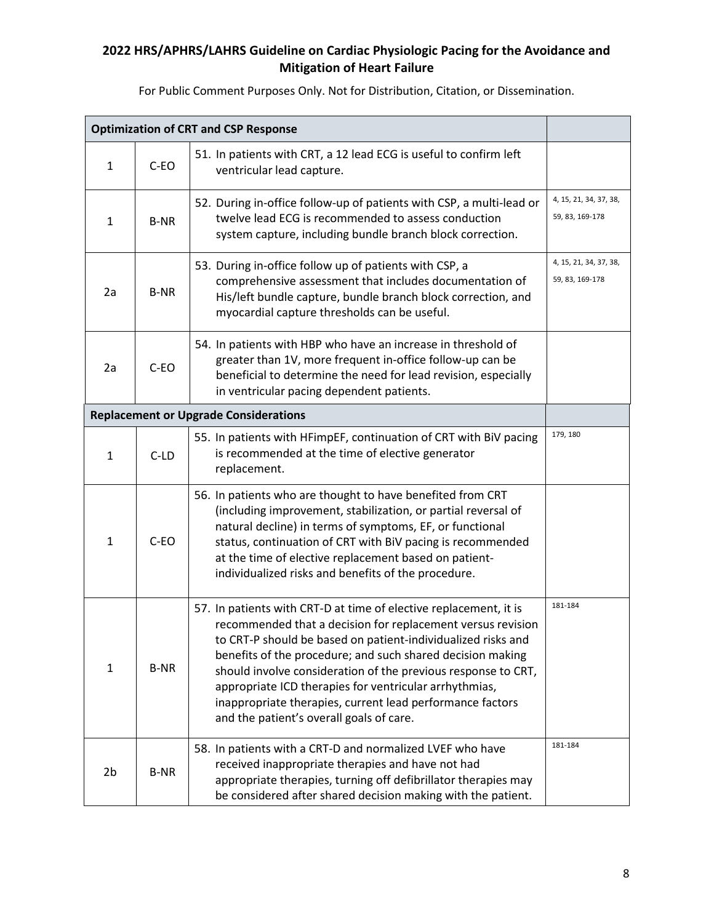| <b>Optimization of CRT and CSP Response</b> |             |                                                                                                                                                                                                                                                                                                                                                                                                                                                                                                    |                                           |
|---------------------------------------------|-------------|----------------------------------------------------------------------------------------------------------------------------------------------------------------------------------------------------------------------------------------------------------------------------------------------------------------------------------------------------------------------------------------------------------------------------------------------------------------------------------------------------|-------------------------------------------|
| $\mathbf{1}$                                | C-EO        | 51. In patients with CRT, a 12 lead ECG is useful to confirm left<br>ventricular lead capture.                                                                                                                                                                                                                                                                                                                                                                                                     |                                           |
| $\mathbf{1}$                                | <b>B-NR</b> | 52. During in-office follow-up of patients with CSP, a multi-lead or<br>twelve lead ECG is recommended to assess conduction<br>system capture, including bundle branch block correction.                                                                                                                                                                                                                                                                                                           | 4, 15, 21, 34, 37, 38,<br>59, 83, 169-178 |
| 2a                                          | <b>B-NR</b> | 53. During in-office follow up of patients with CSP, a<br>comprehensive assessment that includes documentation of<br>His/left bundle capture, bundle branch block correction, and<br>myocardial capture thresholds can be useful.                                                                                                                                                                                                                                                                  | 4, 15, 21, 34, 37, 38,<br>59, 83, 169-178 |
| 2a                                          | C-EO        | 54. In patients with HBP who have an increase in threshold of<br>greater than 1V, more frequent in-office follow-up can be<br>beneficial to determine the need for lead revision, especially<br>in ventricular pacing dependent patients.                                                                                                                                                                                                                                                          |                                           |
|                                             |             | <b>Replacement or Upgrade Considerations</b>                                                                                                                                                                                                                                                                                                                                                                                                                                                       |                                           |
| $\mathbf{1}$                                | $C-LD$      | 55. In patients with HFimpEF, continuation of CRT with BiV pacing<br>is recommended at the time of elective generator<br>replacement.                                                                                                                                                                                                                                                                                                                                                              | 179, 180                                  |
| $\mathbf{1}$                                | C-EO        | 56. In patients who are thought to have benefited from CRT<br>(including improvement, stabilization, or partial reversal of<br>natural decline) in terms of symptoms, EF, or functional<br>status, continuation of CRT with BiV pacing is recommended<br>at the time of elective replacement based on patient-<br>individualized risks and benefits of the procedure.                                                                                                                              |                                           |
| $\mathbf{1}$                                | <b>B-NR</b> | 57. In patients with CRT-D at time of elective replacement, it is<br>recommended that a decision for replacement versus revision<br>to CRT-P should be based on patient-individualized risks and<br>benefits of the procedure; and such shared decision making<br>should involve consideration of the previous response to CRT,<br>appropriate ICD therapies for ventricular arrhythmias,<br>inappropriate therapies, current lead performance factors<br>and the patient's overall goals of care. | 181-184                                   |
| 2 <sub>b</sub>                              | <b>B-NR</b> | 58. In patients with a CRT-D and normalized LVEF who have<br>received inappropriate therapies and have not had<br>appropriate therapies, turning off defibrillator therapies may<br>be considered after shared decision making with the patient.                                                                                                                                                                                                                                                   | 181-184                                   |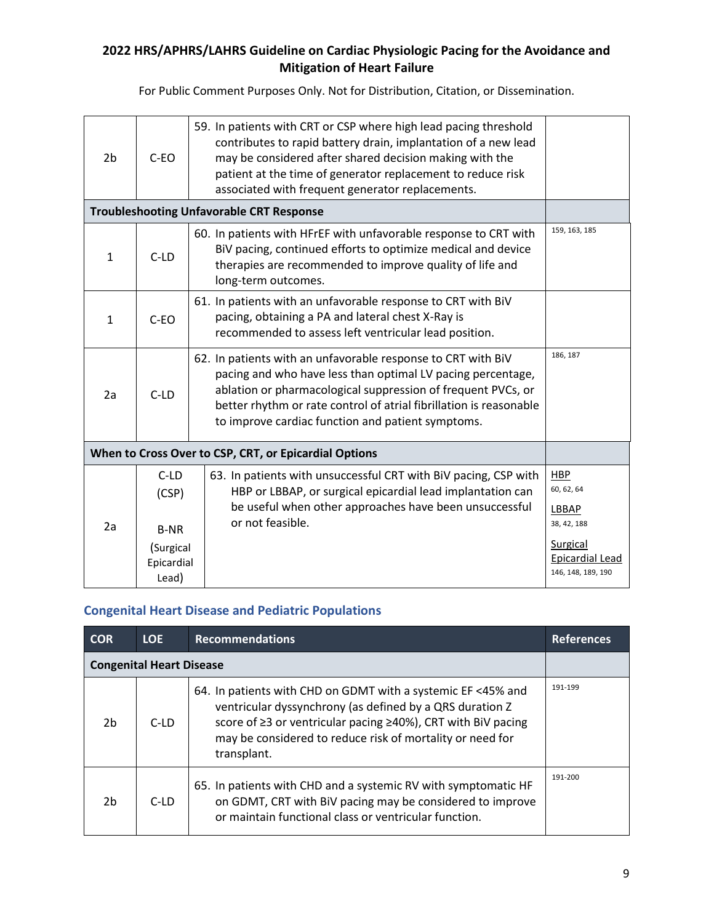For Public Comment Purposes Only. Not for Distribution, Citation, or Dissemination.

| 2 <sub>b</sub>                                        | $C-EO$                           | 59. In patients with CRT or CSP where high lead pacing threshold<br>contributes to rapid battery drain, implantation of a new lead<br>may be considered after shared decision making with the<br>patient at the time of generator replacement to reduce risk<br>associated with frequent generator replacements.       |                                                   |
|-------------------------------------------------------|----------------------------------|------------------------------------------------------------------------------------------------------------------------------------------------------------------------------------------------------------------------------------------------------------------------------------------------------------------------|---------------------------------------------------|
| <b>Troubleshooting Unfavorable CRT Response</b>       |                                  |                                                                                                                                                                                                                                                                                                                        |                                                   |
| $\mathbf{1}$                                          | $C-LD$                           | 60. In patients with HFrEF with unfavorable response to CRT with<br>BiV pacing, continued efforts to optimize medical and device<br>therapies are recommended to improve quality of life and<br>long-term outcomes.                                                                                                    | 159, 163, 185                                     |
| $\mathbf{1}$                                          | $C-EO$                           | 61. In patients with an unfavorable response to CRT with BiV<br>pacing, obtaining a PA and lateral chest X-Ray is<br>recommended to assess left ventricular lead position.                                                                                                                                             |                                                   |
| 2a                                                    | $C-LD$                           | 62. In patients with an unfavorable response to CRT with BiV<br>pacing and who have less than optimal LV pacing percentage,<br>ablation or pharmacological suppression of frequent PVCs, or<br>better rhythm or rate control of atrial fibrillation is reasonable<br>to improve cardiac function and patient symptoms. | 186, 187                                          |
| When to Cross Over to CSP, CRT, or Epicardial Options |                                  |                                                                                                                                                                                                                                                                                                                        |                                                   |
|                                                       | $C-LD$<br>(CSP)                  | 63. In patients with unsuccessful CRT with BiV pacing, CSP with<br>HBP or LBBAP, or surgical epicardial lead implantation can<br>be useful when other approaches have been unsuccessful                                                                                                                                | <b>HBP</b><br>60, 62, 64<br>LBBAP                 |
| 2a                                                    | <b>B-NR</b>                      | or not feasible.                                                                                                                                                                                                                                                                                                       | 38, 42, 188                                       |
|                                                       | (Surgical<br>Epicardial<br>Lead) |                                                                                                                                                                                                                                                                                                                        | Surgical<br>Epicardial Lead<br>146, 148, 189, 190 |

## **Congenital Heart Disease and Pediatric Populations**

| <b>COR</b>                      | LOE.   | <b>Recommendations</b>                                                                                                                                                                                                                                               | <b>References</b> |
|---------------------------------|--------|----------------------------------------------------------------------------------------------------------------------------------------------------------------------------------------------------------------------------------------------------------------------|-------------------|
| <b>Congenital Heart Disease</b> |        |                                                                                                                                                                                                                                                                      |                   |
| 2 <sub>b</sub>                  | $C-LD$ | 64. In patients with CHD on GDMT with a systemic EF <45% and<br>ventricular dyssynchrony (as defined by a QRS duration Z<br>score of ≥3 or ventricular pacing ≥40%), CRT with BiV pacing<br>may be considered to reduce risk of mortality or need for<br>transplant. | 191-199           |
| 2 <sub>b</sub>                  | $C-LD$ | 65. In patients with CHD and a systemic RV with symptomatic HF<br>on GDMT, CRT with BiV pacing may be considered to improve<br>or maintain functional class or ventricular function.                                                                                 | 191-200           |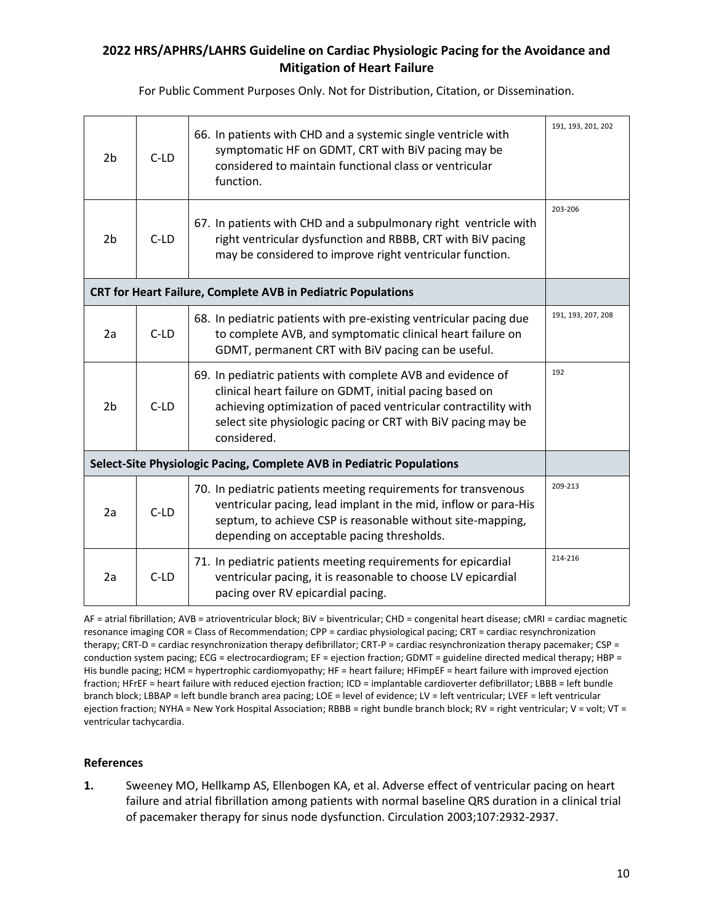For Public Comment Purposes Only. Not for Distribution, Citation, or Dissemination.

| 2 <sub>b</sub>                                                        | $C-LD$ | 66. In patients with CHD and a systemic single ventricle with<br>symptomatic HF on GDMT, CRT with BiV pacing may be<br>considered to maintain functional class or ventricular<br>function.                                                                              | 191, 193, 201, 202 |
|-----------------------------------------------------------------------|--------|-------------------------------------------------------------------------------------------------------------------------------------------------------------------------------------------------------------------------------------------------------------------------|--------------------|
| 2 <sub>b</sub>                                                        | $C-LD$ | 67. In patients with CHD and a subpulmonary right ventricle with<br>right ventricular dysfunction and RBBB, CRT with BiV pacing<br>may be considered to improve right ventricular function.                                                                             | 203-206            |
| CRT for Heart Failure, Complete AVB in Pediatric Populations          |        |                                                                                                                                                                                                                                                                         |                    |
| 2a                                                                    | $C-LD$ | 68. In pediatric patients with pre-existing ventricular pacing due<br>to complete AVB, and symptomatic clinical heart failure on<br>GDMT, permanent CRT with BiV pacing can be useful.                                                                                  | 191, 193, 207, 208 |
| 2 <sub>b</sub>                                                        | $C-LD$ | 69. In pediatric patients with complete AVB and evidence of<br>clinical heart failure on GDMT, initial pacing based on<br>achieving optimization of paced ventricular contractility with<br>select site physiologic pacing or CRT with BiV pacing may be<br>considered. | 192                |
| Select-Site Physiologic Pacing, Complete AVB in Pediatric Populations |        |                                                                                                                                                                                                                                                                         |                    |
| 2a                                                                    | $C-LD$ | 70. In pediatric patients meeting requirements for transvenous<br>ventricular pacing, lead implant in the mid, inflow or para-His<br>septum, to achieve CSP is reasonable without site-mapping,<br>depending on acceptable pacing thresholds.                           | 209-213            |
| 2a                                                                    | $C-LD$ | 71. In pediatric patients meeting requirements for epicardial<br>ventricular pacing, it is reasonable to choose LV epicardial<br>pacing over RV epicardial pacing.                                                                                                      | 214-216            |

AF = atrial fibrillation; AVB = atrioventricular block; BiV = biventricular; CHD = congenital heart disease; cMRI = cardiac magnetic resonance imaging COR = Class of Recommendation; CPP = cardiac physiological pacing; CRT = cardiac resynchronization therapy; CRT-D = cardiac resynchronization therapy defibrillator; CRT-P = cardiac resynchronization therapy pacemaker; CSP = conduction system pacing; ECG = electrocardiogram; EF = ejection fraction; GDMT = guideline directed medical therapy; HBP = His bundle pacing; HCM = hypertrophic cardiomyopathy; HF = heart failure; HFimpEF = heart failure with improved ejection fraction; HFrEF = heart failure with reduced ejection fraction; ICD = implantable cardioverter defibrillator; LBBB = left bundle branch block; LBBAP = left bundle branch area pacing; LOE = level of evidence; LV = left ventricular; LVEF = left ventricular ejection fraction; NYHA = New York Hospital Association; RBBB = right bundle branch block; RV = right ventricular; V = volt; VT = ventricular tachycardia.

#### **References**

**1.** Sweeney MO, Hellkamp AS, Ellenbogen KA, et al. Adverse effect of ventricular pacing on heart failure and atrial fibrillation among patients with normal baseline QRS duration in a clinical trial of pacemaker therapy for sinus node dysfunction. Circulation 2003;107:2932-2937.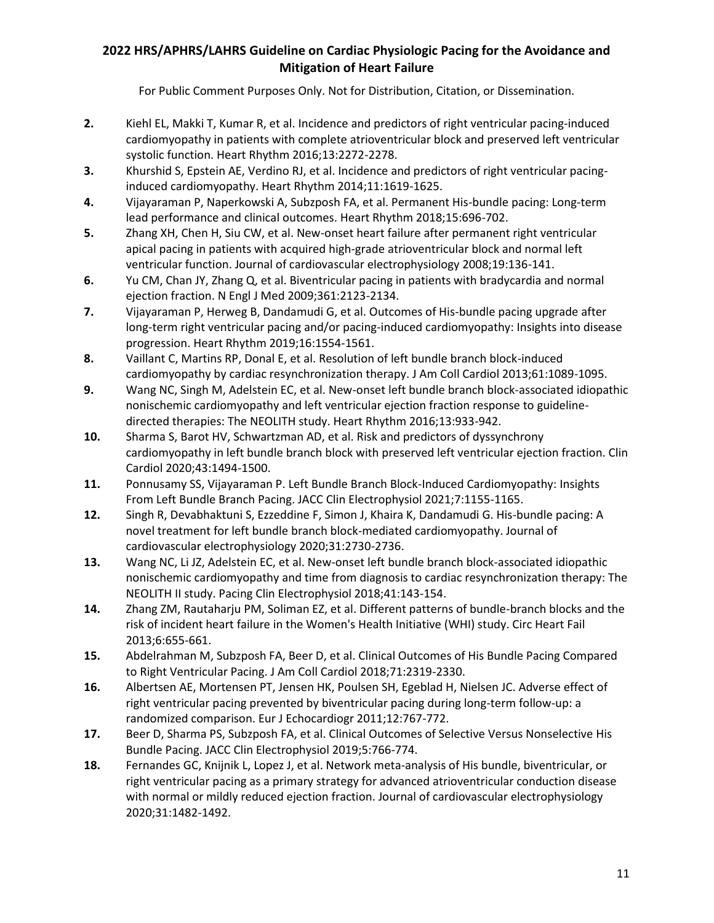- **2.** Kiehl EL, Makki T, Kumar R, et al. Incidence and predictors of right ventricular pacing-induced cardiomyopathy in patients with complete atrioventricular block and preserved left ventricular systolic function. Heart Rhythm 2016;13:2272-2278.
- **3.** Khurshid S, Epstein AE, Verdino RJ, et al. Incidence and predictors of right ventricular pacinginduced cardiomyopathy. Heart Rhythm 2014;11:1619-1625.
- **4.** Vijayaraman P, Naperkowski A, Subzposh FA, et al. Permanent His-bundle pacing: Long-term lead performance and clinical outcomes. Heart Rhythm 2018;15:696-702.
- **5.** Zhang XH, Chen H, Siu CW, et al. New-onset heart failure after permanent right ventricular apical pacing in patients with acquired high-grade atrioventricular block and normal left ventricular function. Journal of cardiovascular electrophysiology 2008;19:136-141.
- **6.** Yu CM, Chan JY, Zhang Q, et al. Biventricular pacing in patients with bradycardia and normal ejection fraction. N Engl J Med 2009;361:2123-2134.
- **7.** Vijayaraman P, Herweg B, Dandamudi G, et al. Outcomes of His-bundle pacing upgrade after long-term right ventricular pacing and/or pacing-induced cardiomyopathy: Insights into disease progression. Heart Rhythm 2019;16:1554-1561.
- **8.** Vaillant C, Martins RP, Donal E, et al. Resolution of left bundle branch block-induced cardiomyopathy by cardiac resynchronization therapy. J Am Coll Cardiol 2013;61:1089-1095.
- **9.** Wang NC, Singh M, Adelstein EC, et al. New-onset left bundle branch block-associated idiopathic nonischemic cardiomyopathy and left ventricular ejection fraction response to guidelinedirected therapies: The NEOLITH study. Heart Rhythm 2016;13:933-942.
- **10.** Sharma S, Barot HV, Schwartzman AD, et al. Risk and predictors of dyssynchrony cardiomyopathy in left bundle branch block with preserved left ventricular ejection fraction. Clin Cardiol 2020;43:1494-1500.
- **11.** Ponnusamy SS, Vijayaraman P. Left Bundle Branch Block-Induced Cardiomyopathy: Insights From Left Bundle Branch Pacing. JACC Clin Electrophysiol 2021;7:1155-1165.
- **12.** Singh R, Devabhaktuni S, Ezzeddine F, Simon J, Khaira K, Dandamudi G. His-bundle pacing: A novel treatment for left bundle branch block-mediated cardiomyopathy. Journal of cardiovascular electrophysiology 2020;31:2730-2736.
- **13.** Wang NC, Li JZ, Adelstein EC, et al. New-onset left bundle branch block-associated idiopathic nonischemic cardiomyopathy and time from diagnosis to cardiac resynchronization therapy: The NEOLITH II study. Pacing Clin Electrophysiol 2018;41:143-154.
- **14.** Zhang ZM, Rautaharju PM, Soliman EZ, et al. Different patterns of bundle-branch blocks and the risk of incident heart failure in the Women's Health Initiative (WHI) study. Circ Heart Fail 2013;6:655-661.
- **15.** Abdelrahman M, Subzposh FA, Beer D, et al. Clinical Outcomes of His Bundle Pacing Compared to Right Ventricular Pacing. J Am Coll Cardiol 2018;71:2319-2330.
- **16.** Albertsen AE, Mortensen PT, Jensen HK, Poulsen SH, Egeblad H, Nielsen JC. Adverse effect of right ventricular pacing prevented by biventricular pacing during long-term follow-up: a randomized comparison. Eur J Echocardiogr 2011;12:767-772.
- **17.** Beer D, Sharma PS, Subzposh FA, et al. Clinical Outcomes of Selective Versus Nonselective His Bundle Pacing. JACC Clin Electrophysiol 2019;5:766-774.
- **18.** Fernandes GC, Knijnik L, Lopez J, et al. Network meta-analysis of His bundle, biventricular, or right ventricular pacing as a primary strategy for advanced atrioventricular conduction disease with normal or mildly reduced ejection fraction. Journal of cardiovascular electrophysiology 2020;31:1482-1492.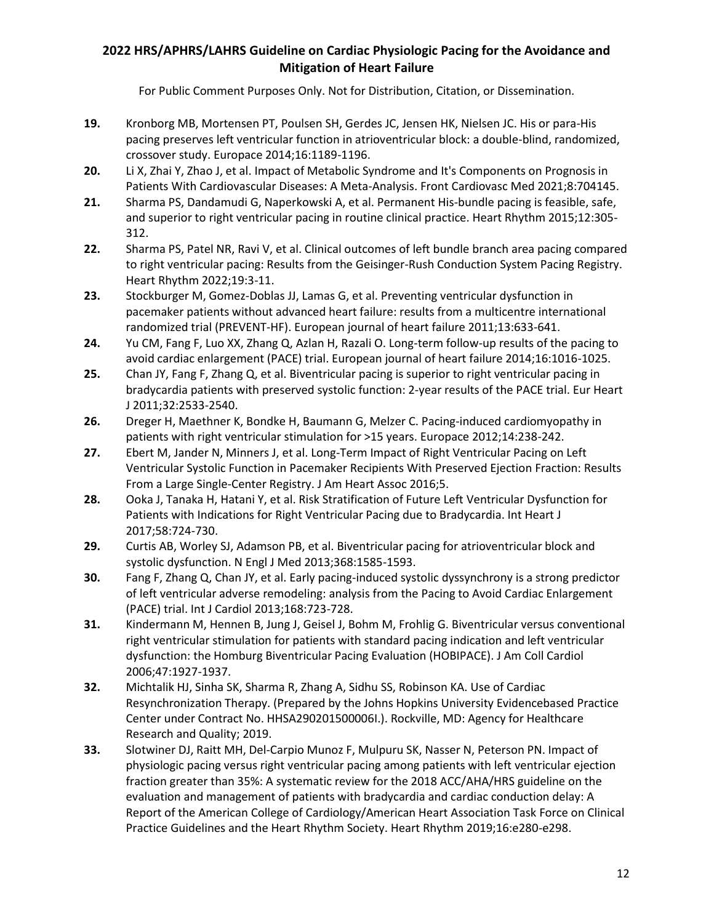- **19.** Kronborg MB, Mortensen PT, Poulsen SH, Gerdes JC, Jensen HK, Nielsen JC. His or para-His pacing preserves left ventricular function in atrioventricular block: a double-blind, randomized, crossover study. Europace 2014;16:1189-1196.
- **20.** Li X, Zhai Y, Zhao J, et al. Impact of Metabolic Syndrome and It's Components on Prognosis in Patients With Cardiovascular Diseases: A Meta-Analysis. Front Cardiovasc Med 2021;8:704145.
- **21.** Sharma PS, Dandamudi G, Naperkowski A, et al. Permanent His-bundle pacing is feasible, safe, and superior to right ventricular pacing in routine clinical practice. Heart Rhythm 2015;12:305- 312.
- **22.** Sharma PS, Patel NR, Ravi V, et al. Clinical outcomes of left bundle branch area pacing compared to right ventricular pacing: Results from the Geisinger-Rush Conduction System Pacing Registry. Heart Rhythm 2022;19:3-11.
- **23.** Stockburger M, Gomez-Doblas JJ, Lamas G, et al. Preventing ventricular dysfunction in pacemaker patients without advanced heart failure: results from a multicentre international randomized trial (PREVENT-HF). European journal of heart failure 2011;13:633-641.
- **24.** Yu CM, Fang F, Luo XX, Zhang Q, Azlan H, Razali O. Long-term follow-up results of the pacing to avoid cardiac enlargement (PACE) trial. European journal of heart failure 2014;16:1016-1025.
- **25.** Chan JY, Fang F, Zhang Q, et al. Biventricular pacing is superior to right ventricular pacing in bradycardia patients with preserved systolic function: 2-year results of the PACE trial. Eur Heart J 2011;32:2533-2540.
- **26.** Dreger H, Maethner K, Bondke H, Baumann G, Melzer C. Pacing-induced cardiomyopathy in patients with right ventricular stimulation for >15 years. Europace 2012;14:238-242.
- **27.** Ebert M, Jander N, Minners J, et al. Long-Term Impact of Right Ventricular Pacing on Left Ventricular Systolic Function in Pacemaker Recipients With Preserved Ejection Fraction: Results From a Large Single-Center Registry. J Am Heart Assoc 2016;5.
- **28.** Ooka J, Tanaka H, Hatani Y, et al. Risk Stratification of Future Left Ventricular Dysfunction for Patients with Indications for Right Ventricular Pacing due to Bradycardia. Int Heart J 2017;58:724-730.
- **29.** Curtis AB, Worley SJ, Adamson PB, et al. Biventricular pacing for atrioventricular block and systolic dysfunction. N Engl J Med 2013;368:1585-1593.
- **30.** Fang F, Zhang Q, Chan JY, et al. Early pacing-induced systolic dyssynchrony is a strong predictor of left ventricular adverse remodeling: analysis from the Pacing to Avoid Cardiac Enlargement (PACE) trial. Int J Cardiol 2013;168:723-728.
- **31.** Kindermann M, Hennen B, Jung J, Geisel J, Bohm M, Frohlig G. Biventricular versus conventional right ventricular stimulation for patients with standard pacing indication and left ventricular dysfunction: the Homburg Biventricular Pacing Evaluation (HOBIPACE). J Am Coll Cardiol 2006;47:1927-1937.
- **32.** Michtalik HJ, Sinha SK, Sharma R, Zhang A, Sidhu SS, Robinson KA. Use of Cardiac Resynchronization Therapy. (Prepared by the Johns Hopkins University Evidencebased Practice Center under Contract No. HHSA290201500006I.). Rockville, MD: Agency for Healthcare Research and Quality; 2019.
- **33.** Slotwiner DJ, Raitt MH, Del-Carpio Munoz F, Mulpuru SK, Nasser N, Peterson PN. Impact of physiologic pacing versus right ventricular pacing among patients with left ventricular ejection fraction greater than 35%: A systematic review for the 2018 ACC/AHA/HRS guideline on the evaluation and management of patients with bradycardia and cardiac conduction delay: A Report of the American College of Cardiology/American Heart Association Task Force on Clinical Practice Guidelines and the Heart Rhythm Society. Heart Rhythm 2019;16:e280-e298.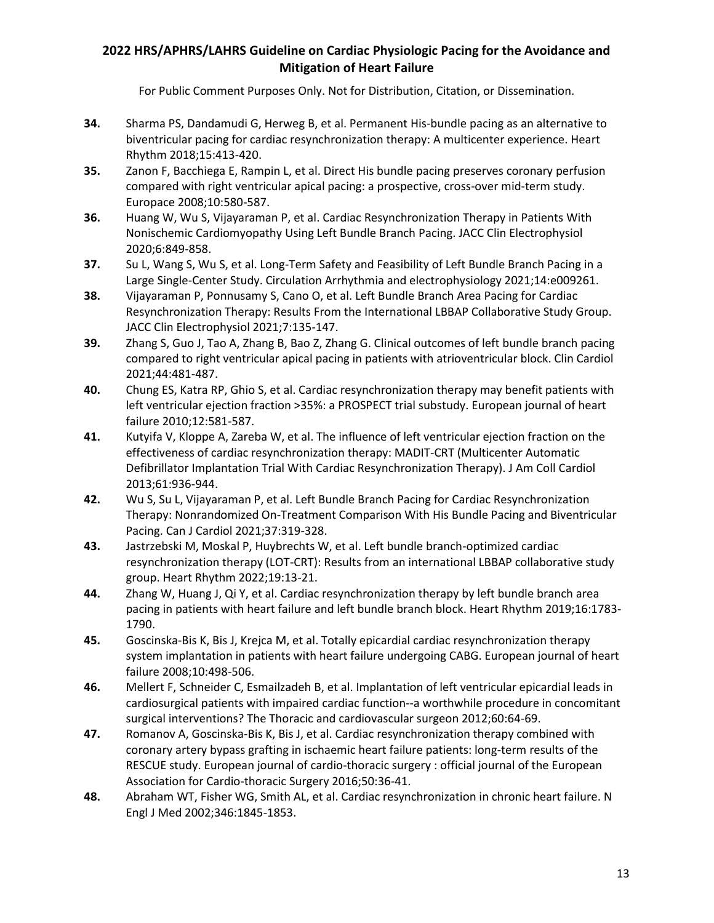- **34.** Sharma PS, Dandamudi G, Herweg B, et al. Permanent His-bundle pacing as an alternative to biventricular pacing for cardiac resynchronization therapy: A multicenter experience. Heart Rhythm 2018;15:413-420.
- **35.** Zanon F, Bacchiega E, Rampin L, et al. Direct His bundle pacing preserves coronary perfusion compared with right ventricular apical pacing: a prospective, cross-over mid-term study. Europace 2008;10:580-587.
- **36.** Huang W, Wu S, Vijayaraman P, et al. Cardiac Resynchronization Therapy in Patients With Nonischemic Cardiomyopathy Using Left Bundle Branch Pacing. JACC Clin Electrophysiol 2020;6:849-858.
- **37.** Su L, Wang S, Wu S, et al. Long-Term Safety and Feasibility of Left Bundle Branch Pacing in a Large Single-Center Study. Circulation Arrhythmia and electrophysiology 2021;14:e009261.
- **38.** Vijayaraman P, Ponnusamy S, Cano O, et al. Left Bundle Branch Area Pacing for Cardiac Resynchronization Therapy: Results From the International LBBAP Collaborative Study Group. JACC Clin Electrophysiol 2021;7:135-147.
- **39.** Zhang S, Guo J, Tao A, Zhang B, Bao Z, Zhang G. Clinical outcomes of left bundle branch pacing compared to right ventricular apical pacing in patients with atrioventricular block. Clin Cardiol 2021;44:481-487.
- **40.** Chung ES, Katra RP, Ghio S, et al. Cardiac resynchronization therapy may benefit patients with left ventricular ejection fraction >35%: a PROSPECT trial substudy. European journal of heart failure 2010;12:581-587.
- **41.** Kutyifa V, Kloppe A, Zareba W, et al. The influence of left ventricular ejection fraction on the effectiveness of cardiac resynchronization therapy: MADIT-CRT (Multicenter Automatic Defibrillator Implantation Trial With Cardiac Resynchronization Therapy). J Am Coll Cardiol 2013;61:936-944.
- **42.** Wu S, Su L, Vijayaraman P, et al. Left Bundle Branch Pacing for Cardiac Resynchronization Therapy: Nonrandomized On-Treatment Comparison With His Bundle Pacing and Biventricular Pacing. Can J Cardiol 2021;37:319-328.
- **43.** Jastrzebski M, Moskal P, Huybrechts W, et al. Left bundle branch-optimized cardiac resynchronization therapy (LOT-CRT): Results from an international LBBAP collaborative study group. Heart Rhythm 2022;19:13-21.
- **44.** Zhang W, Huang J, Qi Y, et al. Cardiac resynchronization therapy by left bundle branch area pacing in patients with heart failure and left bundle branch block. Heart Rhythm 2019;16:1783- 1790.
- **45.** Goscinska-Bis K, Bis J, Krejca M, et al. Totally epicardial cardiac resynchronization therapy system implantation in patients with heart failure undergoing CABG. European journal of heart failure 2008;10:498-506.
- **46.** Mellert F, Schneider C, Esmailzadeh B, et al. Implantation of left ventricular epicardial leads in cardiosurgical patients with impaired cardiac function--a worthwhile procedure in concomitant surgical interventions? The Thoracic and cardiovascular surgeon 2012;60:64-69.
- **47.** Romanov A, Goscinska-Bis K, Bis J, et al. Cardiac resynchronization therapy combined with coronary artery bypass grafting in ischaemic heart failure patients: long-term results of the RESCUE study. European journal of cardio-thoracic surgery : official journal of the European Association for Cardio-thoracic Surgery 2016;50:36-41.
- **48.** Abraham WT, Fisher WG, Smith AL, et al. Cardiac resynchronization in chronic heart failure. N Engl J Med 2002;346:1845-1853.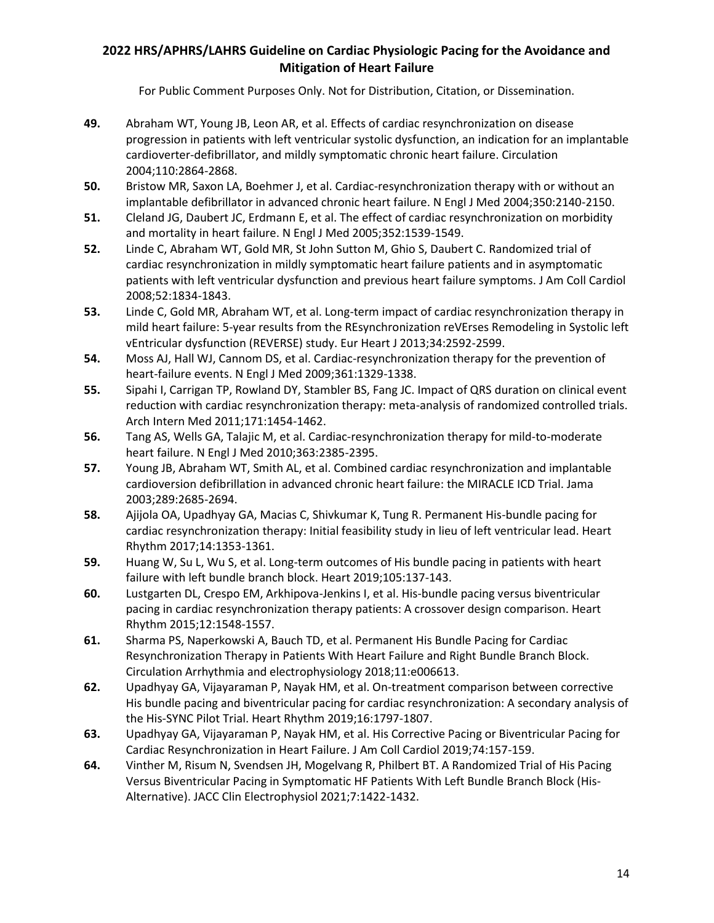- **49.** Abraham WT, Young JB, Leon AR, et al. Effects of cardiac resynchronization on disease progression in patients with left ventricular systolic dysfunction, an indication for an implantable cardioverter-defibrillator, and mildly symptomatic chronic heart failure. Circulation 2004;110:2864-2868.
- **50.** Bristow MR, Saxon LA, Boehmer J, et al. Cardiac-resynchronization therapy with or without an implantable defibrillator in advanced chronic heart failure. N Engl J Med 2004;350:2140-2150.
- **51.** Cleland JG, Daubert JC, Erdmann E, et al. The effect of cardiac resynchronization on morbidity and mortality in heart failure. N Engl J Med 2005;352:1539-1549.
- **52.** Linde C, Abraham WT, Gold MR, St John Sutton M, Ghio S, Daubert C. Randomized trial of cardiac resynchronization in mildly symptomatic heart failure patients and in asymptomatic patients with left ventricular dysfunction and previous heart failure symptoms. J Am Coll Cardiol 2008;52:1834-1843.
- **53.** Linde C, Gold MR, Abraham WT, et al. Long-term impact of cardiac resynchronization therapy in mild heart failure: 5-year results from the REsynchronization reVErses Remodeling in Systolic left vEntricular dysfunction (REVERSE) study. Eur Heart J 2013;34:2592-2599.
- **54.** Moss AJ, Hall WJ, Cannom DS, et al. Cardiac-resynchronization therapy for the prevention of heart-failure events. N Engl J Med 2009;361:1329-1338.
- **55.** Sipahi I, Carrigan TP, Rowland DY, Stambler BS, Fang JC. Impact of QRS duration on clinical event reduction with cardiac resynchronization therapy: meta-analysis of randomized controlled trials. Arch Intern Med 2011;171:1454-1462.
- **56.** Tang AS, Wells GA, Talajic M, et al. Cardiac-resynchronization therapy for mild-to-moderate heart failure. N Engl J Med 2010;363:2385-2395.
- **57.** Young JB, Abraham WT, Smith AL, et al. Combined cardiac resynchronization and implantable cardioversion defibrillation in advanced chronic heart failure: the MIRACLE ICD Trial. Jama 2003;289:2685-2694.
- **58.** Ajijola OA, Upadhyay GA, Macias C, Shivkumar K, Tung R. Permanent His-bundle pacing for cardiac resynchronization therapy: Initial feasibility study in lieu of left ventricular lead. Heart Rhythm 2017;14:1353-1361.
- **59.** Huang W, Su L, Wu S, et al. Long-term outcomes of His bundle pacing in patients with heart failure with left bundle branch block. Heart 2019;105:137-143.
- **60.** Lustgarten DL, Crespo EM, Arkhipova-Jenkins I, et al. His-bundle pacing versus biventricular pacing in cardiac resynchronization therapy patients: A crossover design comparison. Heart Rhythm 2015;12:1548-1557.
- **61.** Sharma PS, Naperkowski A, Bauch TD, et al. Permanent His Bundle Pacing for Cardiac Resynchronization Therapy in Patients With Heart Failure and Right Bundle Branch Block. Circulation Arrhythmia and electrophysiology 2018;11:e006613.
- **62.** Upadhyay GA, Vijayaraman P, Nayak HM, et al. On-treatment comparison between corrective His bundle pacing and biventricular pacing for cardiac resynchronization: A secondary analysis of the His-SYNC Pilot Trial. Heart Rhythm 2019;16:1797-1807.
- **63.** Upadhyay GA, Vijayaraman P, Nayak HM, et al. His Corrective Pacing or Biventricular Pacing for Cardiac Resynchronization in Heart Failure. J Am Coll Cardiol 2019;74:157-159.
- **64.** Vinther M, Risum N, Svendsen JH, Mogelvang R, Philbert BT. A Randomized Trial of His Pacing Versus Biventricular Pacing in Symptomatic HF Patients With Left Bundle Branch Block (His-Alternative). JACC Clin Electrophysiol 2021;7:1422-1432.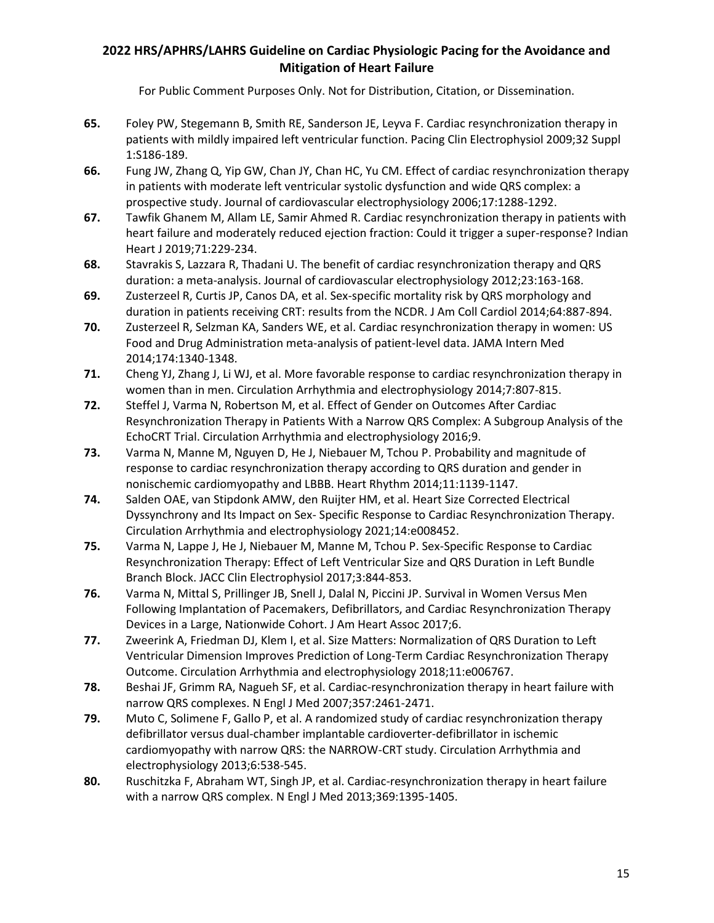- **65.** Foley PW, Stegemann B, Smith RE, Sanderson JE, Leyva F. Cardiac resynchronization therapy in patients with mildly impaired left ventricular function. Pacing Clin Electrophysiol 2009;32 Suppl 1:S186-189.
- **66.** Fung JW, Zhang Q, Yip GW, Chan JY, Chan HC, Yu CM. Effect of cardiac resynchronization therapy in patients with moderate left ventricular systolic dysfunction and wide QRS complex: a prospective study. Journal of cardiovascular electrophysiology 2006;17:1288-1292.
- **67.** Tawfik Ghanem M, Allam LE, Samir Ahmed R. Cardiac resynchronization therapy in patients with heart failure and moderately reduced ejection fraction: Could it trigger a super-response? Indian Heart J 2019;71:229-234.
- **68.** Stavrakis S, Lazzara R, Thadani U. The benefit of cardiac resynchronization therapy and QRS duration: a meta-analysis. Journal of cardiovascular electrophysiology 2012;23:163-168.
- **69.** Zusterzeel R, Curtis JP, Canos DA, et al. Sex-specific mortality risk by QRS morphology and duration in patients receiving CRT: results from the NCDR. J Am Coll Cardiol 2014;64:887-894.
- **70.** Zusterzeel R, Selzman KA, Sanders WE, et al. Cardiac resynchronization therapy in women: US Food and Drug Administration meta-analysis of patient-level data. JAMA Intern Med 2014;174:1340-1348.
- **71.** Cheng YJ, Zhang J, Li WJ, et al. More favorable response to cardiac resynchronization therapy in women than in men. Circulation Arrhythmia and electrophysiology 2014;7:807-815.
- **72.** Steffel J, Varma N, Robertson M, et al. Effect of Gender on Outcomes After Cardiac Resynchronization Therapy in Patients With a Narrow QRS Complex: A Subgroup Analysis of the EchoCRT Trial. Circulation Arrhythmia and electrophysiology 2016;9.
- **73.** Varma N, Manne M, Nguyen D, He J, Niebauer M, Tchou P. Probability and magnitude of response to cardiac resynchronization therapy according to QRS duration and gender in nonischemic cardiomyopathy and LBBB. Heart Rhythm 2014;11:1139-1147.
- **74.** Salden OAE, van Stipdonk AMW, den Ruijter HM, et al. Heart Size Corrected Electrical Dyssynchrony and Its Impact on Sex- Specific Response to Cardiac Resynchronization Therapy. Circulation Arrhythmia and electrophysiology 2021;14:e008452.
- **75.** Varma N, Lappe J, He J, Niebauer M, Manne M, Tchou P. Sex-Specific Response to Cardiac Resynchronization Therapy: Effect of Left Ventricular Size and QRS Duration in Left Bundle Branch Block. JACC Clin Electrophysiol 2017;3:844-853.
- **76.** Varma N, Mittal S, Prillinger JB, Snell J, Dalal N, Piccini JP. Survival in Women Versus Men Following Implantation of Pacemakers, Defibrillators, and Cardiac Resynchronization Therapy Devices in a Large, Nationwide Cohort. J Am Heart Assoc 2017;6.
- **77.** Zweerink A, Friedman DJ, Klem I, et al. Size Matters: Normalization of QRS Duration to Left Ventricular Dimension Improves Prediction of Long-Term Cardiac Resynchronization Therapy Outcome. Circulation Arrhythmia and electrophysiology 2018;11:e006767.
- **78.** Beshai JF, Grimm RA, Nagueh SF, et al. Cardiac-resynchronization therapy in heart failure with narrow QRS complexes. N Engl J Med 2007;357:2461-2471.
- **79.** Muto C, Solimene F, Gallo P, et al. A randomized study of cardiac resynchronization therapy defibrillator versus dual-chamber implantable cardioverter-defibrillator in ischemic cardiomyopathy with narrow QRS: the NARROW-CRT study. Circulation Arrhythmia and electrophysiology 2013;6:538-545.
- **80.** Ruschitzka F, Abraham WT, Singh JP, et al. Cardiac-resynchronization therapy in heart failure with a narrow QRS complex. N Engl J Med 2013;369:1395-1405.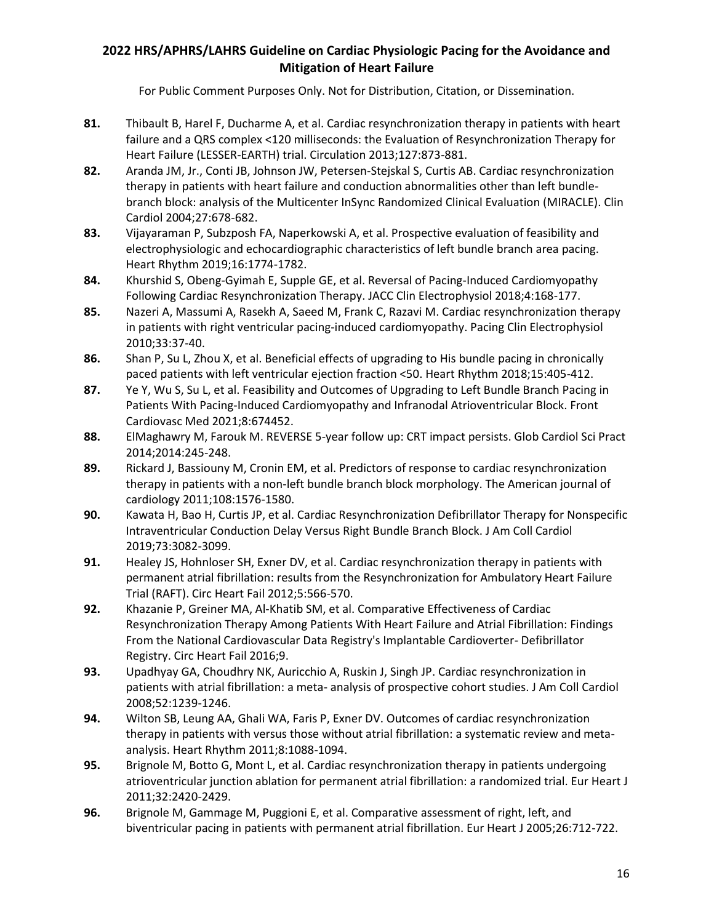- **81.** Thibault B, Harel F, Ducharme A, et al. Cardiac resynchronization therapy in patients with heart failure and a QRS complex <120 milliseconds: the Evaluation of Resynchronization Therapy for Heart Failure (LESSER-EARTH) trial. Circulation 2013;127:873-881.
- **82.** Aranda JM, Jr., Conti JB, Johnson JW, Petersen-Stejskal S, Curtis AB. Cardiac resynchronization therapy in patients with heart failure and conduction abnormalities other than left bundlebranch block: analysis of the Multicenter InSync Randomized Clinical Evaluation (MIRACLE). Clin Cardiol 2004;27:678-682.
- **83.** Vijayaraman P, Subzposh FA, Naperkowski A, et al. Prospective evaluation of feasibility and electrophysiologic and echocardiographic characteristics of left bundle branch area pacing. Heart Rhythm 2019;16:1774-1782.
- **84.** Khurshid S, Obeng-Gyimah E, Supple GE, et al. Reversal of Pacing-Induced Cardiomyopathy Following Cardiac Resynchronization Therapy. JACC Clin Electrophysiol 2018;4:168-177.
- **85.** Nazeri A, Massumi A, Rasekh A, Saeed M, Frank C, Razavi M. Cardiac resynchronization therapy in patients with right ventricular pacing-induced cardiomyopathy. Pacing Clin Electrophysiol 2010;33:37-40.
- **86.** Shan P, Su L, Zhou X, et al. Beneficial effects of upgrading to His bundle pacing in chronically paced patients with left ventricular ejection fraction <50. Heart Rhythm 2018;15:405-412.
- **87.** Ye Y, Wu S, Su L, et al. Feasibility and Outcomes of Upgrading to Left Bundle Branch Pacing in Patients With Pacing-Induced Cardiomyopathy and Infranodal Atrioventricular Block. Front Cardiovasc Med 2021;8:674452.
- **88.** ElMaghawry M, Farouk M. REVERSE 5-year follow up: CRT impact persists. Glob Cardiol Sci Pract 2014;2014:245-248.
- **89.** Rickard J, Bassiouny M, Cronin EM, et al. Predictors of response to cardiac resynchronization therapy in patients with a non-left bundle branch block morphology. The American journal of cardiology 2011;108:1576-1580.
- **90.** Kawata H, Bao H, Curtis JP, et al. Cardiac Resynchronization Defibrillator Therapy for Nonspecific Intraventricular Conduction Delay Versus Right Bundle Branch Block. J Am Coll Cardiol 2019;73:3082-3099.
- **91.** Healey JS, Hohnloser SH, Exner DV, et al. Cardiac resynchronization therapy in patients with permanent atrial fibrillation: results from the Resynchronization for Ambulatory Heart Failure Trial (RAFT). Circ Heart Fail 2012;5:566-570.
- **92.** Khazanie P, Greiner MA, Al-Khatib SM, et al. Comparative Effectiveness of Cardiac Resynchronization Therapy Among Patients With Heart Failure and Atrial Fibrillation: Findings From the National Cardiovascular Data Registry's Implantable Cardioverter- Defibrillator Registry. Circ Heart Fail 2016;9.
- **93.** Upadhyay GA, Choudhry NK, Auricchio A, Ruskin J, Singh JP. Cardiac resynchronization in patients with atrial fibrillation: a meta- analysis of prospective cohort studies. J Am Coll Cardiol 2008;52:1239-1246.
- **94.** Wilton SB, Leung AA, Ghali WA, Faris P, Exner DV. Outcomes of cardiac resynchronization therapy in patients with versus those without atrial fibrillation: a systematic review and metaanalysis. Heart Rhythm 2011;8:1088-1094.
- **95.** Brignole M, Botto G, Mont L, et al. Cardiac resynchronization therapy in patients undergoing atrioventricular junction ablation for permanent atrial fibrillation: a randomized trial. Eur Heart J 2011;32:2420-2429.
- **96.** Brignole M, Gammage M, Puggioni E, et al. Comparative assessment of right, left, and biventricular pacing in patients with permanent atrial fibrillation. Eur Heart J 2005;26:712-722.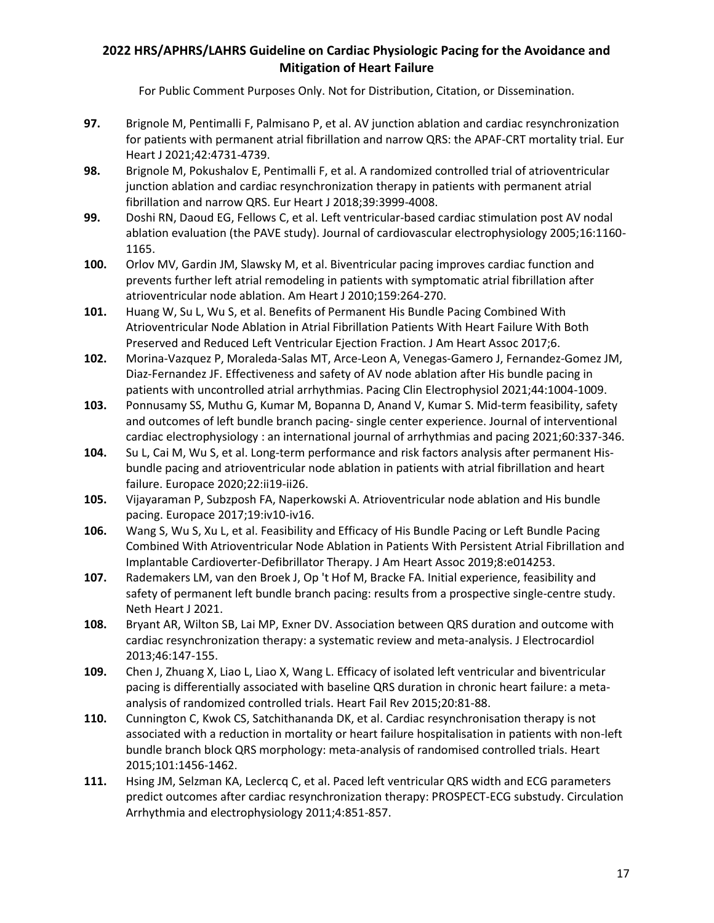- **97.** Brignole M, Pentimalli F, Palmisano P, et al. AV junction ablation and cardiac resynchronization for patients with permanent atrial fibrillation and narrow QRS: the APAF-CRT mortality trial. Eur Heart J 2021;42:4731-4739.
- **98.** Brignole M, Pokushalov E, Pentimalli F, et al. A randomized controlled trial of atrioventricular junction ablation and cardiac resynchronization therapy in patients with permanent atrial fibrillation and narrow QRS. Eur Heart J 2018;39:3999-4008.
- **99.** Doshi RN, Daoud EG, Fellows C, et al. Left ventricular-based cardiac stimulation post AV nodal ablation evaluation (the PAVE study). Journal of cardiovascular electrophysiology 2005;16:1160- 1165.
- **100.** Orlov MV, Gardin JM, Slawsky M, et al. Biventricular pacing improves cardiac function and prevents further left atrial remodeling in patients with symptomatic atrial fibrillation after atrioventricular node ablation. Am Heart J 2010;159:264-270.
- **101.** Huang W, Su L, Wu S, et al. Benefits of Permanent His Bundle Pacing Combined With Atrioventricular Node Ablation in Atrial Fibrillation Patients With Heart Failure With Both Preserved and Reduced Left Ventricular Ejection Fraction. J Am Heart Assoc 2017;6.
- **102.** Morina-Vazquez P, Moraleda-Salas MT, Arce-Leon A, Venegas-Gamero J, Fernandez-Gomez JM, Diaz-Fernandez JF. Effectiveness and safety of AV node ablation after His bundle pacing in patients with uncontrolled atrial arrhythmias. Pacing Clin Electrophysiol 2021;44:1004-1009.
- **103.** Ponnusamy SS, Muthu G, Kumar M, Bopanna D, Anand V, Kumar S. Mid-term feasibility, safety and outcomes of left bundle branch pacing- single center experience. Journal of interventional cardiac electrophysiology : an international journal of arrhythmias and pacing 2021;60:337-346.
- **104.** Su L, Cai M, Wu S, et al. Long-term performance and risk factors analysis after permanent Hisbundle pacing and atrioventricular node ablation in patients with atrial fibrillation and heart failure. Europace 2020;22:ii19-ii26.
- **105.** Vijayaraman P, Subzposh FA, Naperkowski A. Atrioventricular node ablation and His bundle pacing. Europace 2017;19:iv10-iv16.
- **106.** Wang S, Wu S, Xu L, et al. Feasibility and Efficacy of His Bundle Pacing or Left Bundle Pacing Combined With Atrioventricular Node Ablation in Patients With Persistent Atrial Fibrillation and Implantable Cardioverter-Defibrillator Therapy. J Am Heart Assoc 2019;8:e014253.
- **107.** Rademakers LM, van den Broek J, Op 't Hof M, Bracke FA. Initial experience, feasibility and safety of permanent left bundle branch pacing: results from a prospective single-centre study. Neth Heart J 2021.
- **108.** Bryant AR, Wilton SB, Lai MP, Exner DV. Association between QRS duration and outcome with cardiac resynchronization therapy: a systematic review and meta-analysis. J Electrocardiol 2013;46:147-155.
- **109.** Chen J, Zhuang X, Liao L, Liao X, Wang L. Efficacy of isolated left ventricular and biventricular pacing is differentially associated with baseline QRS duration in chronic heart failure: a metaanalysis of randomized controlled trials. Heart Fail Rev 2015;20:81-88.
- **110.** Cunnington C, Kwok CS, Satchithananda DK, et al. Cardiac resynchronisation therapy is not associated with a reduction in mortality or heart failure hospitalisation in patients with non-left bundle branch block QRS morphology: meta-analysis of randomised controlled trials. Heart 2015;101:1456-1462.
- **111.** Hsing JM, Selzman KA, Leclercq C, et al. Paced left ventricular QRS width and ECG parameters predict outcomes after cardiac resynchronization therapy: PROSPECT-ECG substudy. Circulation Arrhythmia and electrophysiology 2011;4:851-857.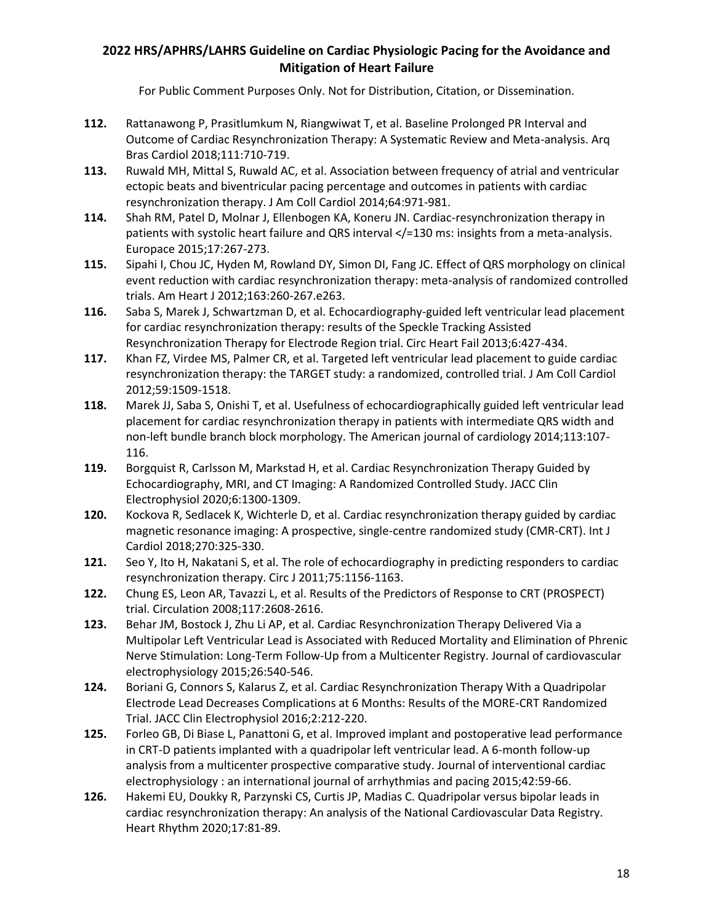- **112.** Rattanawong P, Prasitlumkum N, Riangwiwat T, et al. Baseline Prolonged PR Interval and Outcome of Cardiac Resynchronization Therapy: A Systematic Review and Meta-analysis. Arq Bras Cardiol 2018;111:710-719.
- **113.** Ruwald MH, Mittal S, Ruwald AC, et al. Association between frequency of atrial and ventricular ectopic beats and biventricular pacing percentage and outcomes in patients with cardiac resynchronization therapy. J Am Coll Cardiol 2014;64:971-981.
- **114.** Shah RM, Patel D, Molnar J, Ellenbogen KA, Koneru JN. Cardiac-resynchronization therapy in patients with systolic heart failure and QRS interval </a> </a></a>130 ms: insights from a meta-analysis. Europace 2015;17:267-273.
- **115.** Sipahi I, Chou JC, Hyden M, Rowland DY, Simon DI, Fang JC. Effect of QRS morphology on clinical event reduction with cardiac resynchronization therapy: meta-analysis of randomized controlled trials. Am Heart J 2012;163:260-267.e263.
- **116.** Saba S, Marek J, Schwartzman D, et al. Echocardiography-guided left ventricular lead placement for cardiac resynchronization therapy: results of the Speckle Tracking Assisted Resynchronization Therapy for Electrode Region trial. Circ Heart Fail 2013;6:427-434.
- **117.** Khan FZ, Virdee MS, Palmer CR, et al. Targeted left ventricular lead placement to guide cardiac resynchronization therapy: the TARGET study: a randomized, controlled trial. J Am Coll Cardiol 2012;59:1509-1518.
- **118.** Marek JJ, Saba S, Onishi T, et al. Usefulness of echocardiographically guided left ventricular lead placement for cardiac resynchronization therapy in patients with intermediate QRS width and non-left bundle branch block morphology. The American journal of cardiology 2014;113:107- 116.
- **119.** Borgquist R, Carlsson M, Markstad H, et al. Cardiac Resynchronization Therapy Guided by Echocardiography, MRI, and CT Imaging: A Randomized Controlled Study. JACC Clin Electrophysiol 2020;6:1300-1309.
- **120.** Kockova R, Sedlacek K, Wichterle D, et al. Cardiac resynchronization therapy guided by cardiac magnetic resonance imaging: A prospective, single-centre randomized study (CMR-CRT). Int J Cardiol 2018;270:325-330.
- **121.** Seo Y, Ito H, Nakatani S, et al. The role of echocardiography in predicting responders to cardiac resynchronization therapy. Circ J 2011;75:1156-1163.
- **122.** Chung ES, Leon AR, Tavazzi L, et al. Results of the Predictors of Response to CRT (PROSPECT) trial. Circulation 2008;117:2608-2616.
- **123.** Behar JM, Bostock J, Zhu Li AP, et al. Cardiac Resynchronization Therapy Delivered Via a Multipolar Left Ventricular Lead is Associated with Reduced Mortality and Elimination of Phrenic Nerve Stimulation: Long-Term Follow-Up from a Multicenter Registry. Journal of cardiovascular electrophysiology 2015;26:540-546.
- **124.** Boriani G, Connors S, Kalarus Z, et al. Cardiac Resynchronization Therapy With a Quadripolar Electrode Lead Decreases Complications at 6 Months: Results of the MORE-CRT Randomized Trial. JACC Clin Electrophysiol 2016;2:212-220.
- **125.** Forleo GB, Di Biase L, Panattoni G, et al. Improved implant and postoperative lead performance in CRT-D patients implanted with a quadripolar left ventricular lead. A 6-month follow-up analysis from a multicenter prospective comparative study. Journal of interventional cardiac electrophysiology : an international journal of arrhythmias and pacing 2015;42:59-66.
- **126.** Hakemi EU, Doukky R, Parzynski CS, Curtis JP, Madias C. Quadripolar versus bipolar leads in cardiac resynchronization therapy: An analysis of the National Cardiovascular Data Registry. Heart Rhythm 2020;17:81-89.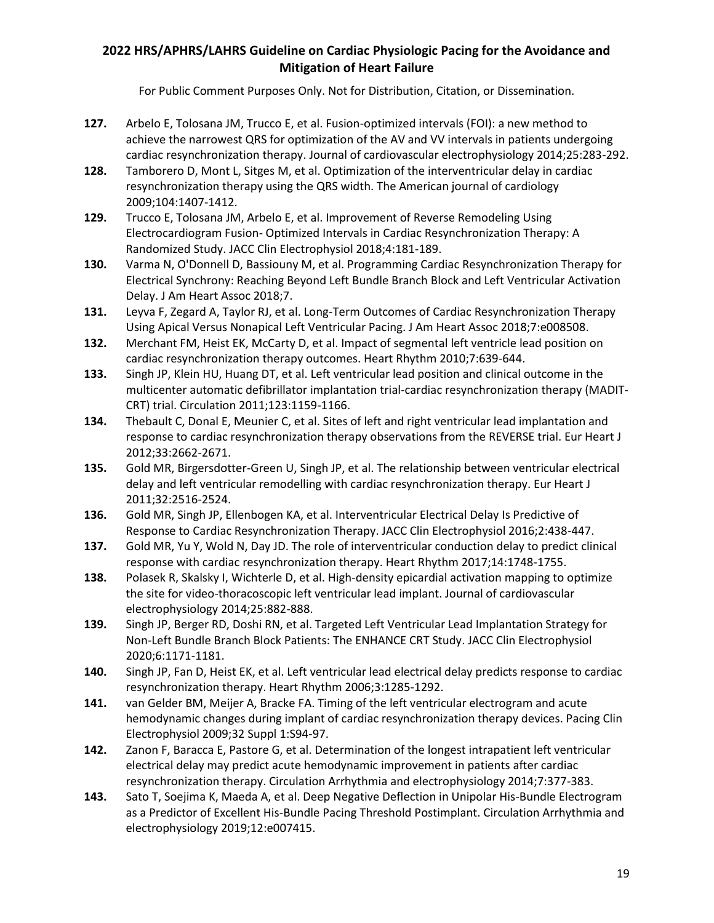- **127.** Arbelo E, Tolosana JM, Trucco E, et al. Fusion-optimized intervals (FOI): a new method to achieve the narrowest QRS for optimization of the AV and VV intervals in patients undergoing cardiac resynchronization therapy. Journal of cardiovascular electrophysiology 2014;25:283-292.
- **128.** Tamborero D, Mont L, Sitges M, et al. Optimization of the interventricular delay in cardiac resynchronization therapy using the QRS width. The American journal of cardiology 2009;104:1407-1412.
- **129.** Trucco E, Tolosana JM, Arbelo E, et al. Improvement of Reverse Remodeling Using Electrocardiogram Fusion- Optimized Intervals in Cardiac Resynchronization Therapy: A Randomized Study. JACC Clin Electrophysiol 2018;4:181-189.
- **130.** Varma N, O'Donnell D, Bassiouny M, et al. Programming Cardiac Resynchronization Therapy for Electrical Synchrony: Reaching Beyond Left Bundle Branch Block and Left Ventricular Activation Delay. J Am Heart Assoc 2018;7.
- **131.** Leyva F, Zegard A, Taylor RJ, et al. Long-Term Outcomes of Cardiac Resynchronization Therapy Using Apical Versus Nonapical Left Ventricular Pacing. J Am Heart Assoc 2018;7:e008508.
- **132.** Merchant FM, Heist EK, McCarty D, et al. Impact of segmental left ventricle lead position on cardiac resynchronization therapy outcomes. Heart Rhythm 2010;7:639-644.
- **133.** Singh JP, Klein HU, Huang DT, et al. Left ventricular lead position and clinical outcome in the multicenter automatic defibrillator implantation trial-cardiac resynchronization therapy (MADIT-CRT) trial. Circulation 2011;123:1159-1166.
- **134.** Thebault C, Donal E, Meunier C, et al. Sites of left and right ventricular lead implantation and response to cardiac resynchronization therapy observations from the REVERSE trial. Eur Heart J 2012;33:2662-2671.
- **135.** Gold MR, Birgersdotter-Green U, Singh JP, et al. The relationship between ventricular electrical delay and left ventricular remodelling with cardiac resynchronization therapy. Eur Heart J 2011;32:2516-2524.
- **136.** Gold MR, Singh JP, Ellenbogen KA, et al. Interventricular Electrical Delay Is Predictive of Response to Cardiac Resynchronization Therapy. JACC Clin Electrophysiol 2016;2:438-447.
- **137.** Gold MR, Yu Y, Wold N, Day JD. The role of interventricular conduction delay to predict clinical response with cardiac resynchronization therapy. Heart Rhythm 2017;14:1748-1755.
- **138.** Polasek R, Skalsky I, Wichterle D, et al. High-density epicardial activation mapping to optimize the site for video-thoracoscopic left ventricular lead implant. Journal of cardiovascular electrophysiology 2014;25:882-888.
- **139.** Singh JP, Berger RD, Doshi RN, et al. Targeted Left Ventricular Lead Implantation Strategy for Non-Left Bundle Branch Block Patients: The ENHANCE CRT Study. JACC Clin Electrophysiol 2020;6:1171-1181.
- **140.** Singh JP, Fan D, Heist EK, et al. Left ventricular lead electrical delay predicts response to cardiac resynchronization therapy. Heart Rhythm 2006;3:1285-1292.
- **141.** van Gelder BM, Meijer A, Bracke FA. Timing of the left ventricular electrogram and acute hemodynamic changes during implant of cardiac resynchronization therapy devices. Pacing Clin Electrophysiol 2009;32 Suppl 1:S94-97.
- **142.** Zanon F, Baracca E, Pastore G, et al. Determination of the longest intrapatient left ventricular electrical delay may predict acute hemodynamic improvement in patients after cardiac resynchronization therapy. Circulation Arrhythmia and electrophysiology 2014;7:377-383.
- **143.** Sato T, Soejima K, Maeda A, et al. Deep Negative Deflection in Unipolar His-Bundle Electrogram as a Predictor of Excellent His-Bundle Pacing Threshold Postimplant. Circulation Arrhythmia and electrophysiology 2019;12:e007415.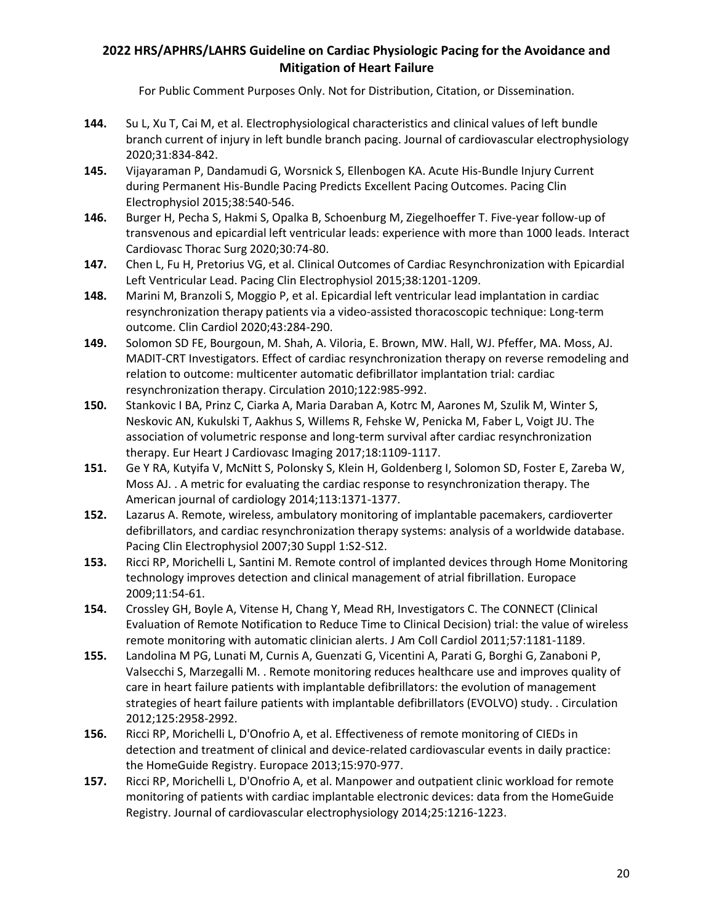- **144.** Su L, Xu T, Cai M, et al. Electrophysiological characteristics and clinical values of left bundle branch current of injury in left bundle branch pacing. Journal of cardiovascular electrophysiology 2020;31:834-842.
- **145.** Vijayaraman P, Dandamudi G, Worsnick S, Ellenbogen KA. Acute His-Bundle Injury Current during Permanent His-Bundle Pacing Predicts Excellent Pacing Outcomes. Pacing Clin Electrophysiol 2015;38:540-546.
- **146.** Burger H, Pecha S, Hakmi S, Opalka B, Schoenburg M, Ziegelhoeffer T. Five-year follow-up of transvenous and epicardial left ventricular leads: experience with more than 1000 leads. Interact Cardiovasc Thorac Surg 2020;30:74-80.
- **147.** Chen L, Fu H, Pretorius VG, et al. Clinical Outcomes of Cardiac Resynchronization with Epicardial Left Ventricular Lead. Pacing Clin Electrophysiol 2015;38:1201-1209.
- **148.** Marini M, Branzoli S, Moggio P, et al. Epicardial left ventricular lead implantation in cardiac resynchronization therapy patients via a video-assisted thoracoscopic technique: Long-term outcome. Clin Cardiol 2020;43:284-290.
- **149.** Solomon SD FE, Bourgoun, M. Shah, A. Viloria, E. Brown, MW. Hall, WJ. Pfeffer, MA. Moss, AJ. MADIT-CRT Investigators. Effect of cardiac resynchronization therapy on reverse remodeling and relation to outcome: multicenter automatic defibrillator implantation trial: cardiac resynchronization therapy. Circulation 2010;122:985-992.
- **150.** Stankovic I BA, Prinz C, Ciarka A, Maria Daraban A, Kotrc M, Aarones M, Szulik M, Winter S, Neskovic AN, Kukulski T, Aakhus S, Willems R, Fehske W, Penicka M, Faber L, Voigt JU. The association of volumetric response and long-term survival after cardiac resynchronization therapy. Eur Heart J Cardiovasc Imaging 2017;18:1109-1117.
- **151.** Ge Y RA, Kutyifa V, McNitt S, Polonsky S, Klein H, Goldenberg I, Solomon SD, Foster E, Zareba W, Moss AJ. . A metric for evaluating the cardiac response to resynchronization therapy. The American journal of cardiology 2014;113:1371-1377.
- **152.** Lazarus A. Remote, wireless, ambulatory monitoring of implantable pacemakers, cardioverter defibrillators, and cardiac resynchronization therapy systems: analysis of a worldwide database. Pacing Clin Electrophysiol 2007;30 Suppl 1:S2-S12.
- **153.** Ricci RP, Morichelli L, Santini M. Remote control of implanted devices through Home Monitoring technology improves detection and clinical management of atrial fibrillation. Europace 2009;11:54-61.
- **154.** Crossley GH, Boyle A, Vitense H, Chang Y, Mead RH, Investigators C. The CONNECT (Clinical Evaluation of Remote Notification to Reduce Time to Clinical Decision) trial: the value of wireless remote monitoring with automatic clinician alerts. J Am Coll Cardiol 2011;57:1181-1189.
- **155.** Landolina M PG, Lunati M, Curnis A, Guenzati G, Vicentini A, Parati G, Borghi G, Zanaboni P, Valsecchi S, Marzegalli M. . Remote monitoring reduces healthcare use and improves quality of care in heart failure patients with implantable defibrillators: the evolution of management strategies of heart failure patients with implantable defibrillators (EVOLVO) study. . Circulation 2012;125:2958-2992.
- **156.** Ricci RP, Morichelli L, D'Onofrio A, et al. Effectiveness of remote monitoring of CIEDs in detection and treatment of clinical and device-related cardiovascular events in daily practice: the HomeGuide Registry. Europace 2013;15:970-977.
- **157.** Ricci RP, Morichelli L, D'Onofrio A, et al. Manpower and outpatient clinic workload for remote monitoring of patients with cardiac implantable electronic devices: data from the HomeGuide Registry. Journal of cardiovascular electrophysiology 2014;25:1216-1223.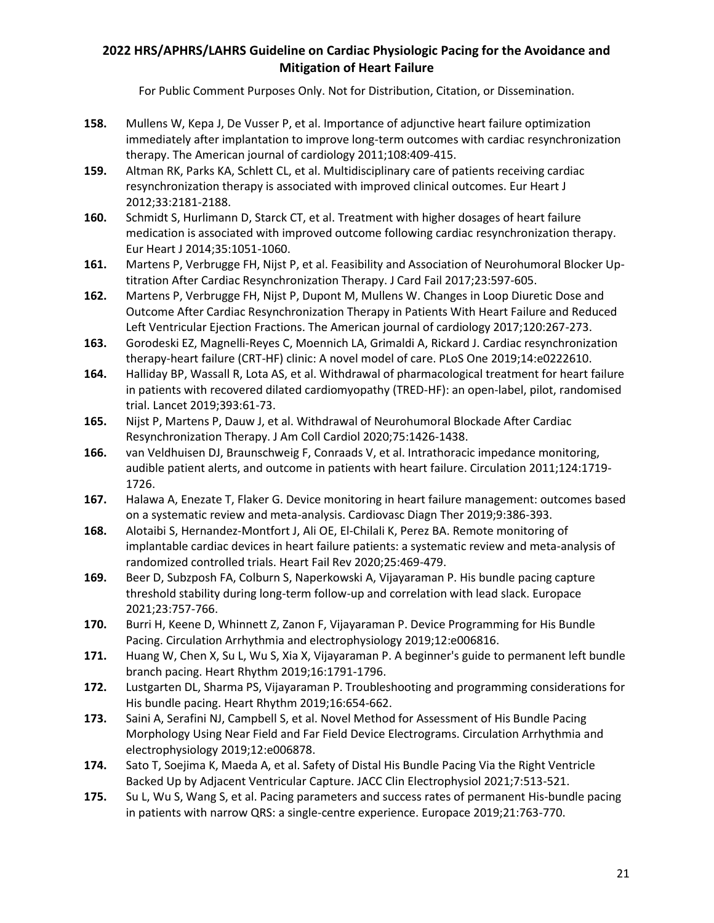- **158.** Mullens W, Kepa J, De Vusser P, et al. Importance of adjunctive heart failure optimization immediately after implantation to improve long-term outcomes with cardiac resynchronization therapy. The American journal of cardiology 2011;108:409-415.
- **159.** Altman RK, Parks KA, Schlett CL, et al. Multidisciplinary care of patients receiving cardiac resynchronization therapy is associated with improved clinical outcomes. Eur Heart J 2012;33:2181-2188.
- **160.** Schmidt S, Hurlimann D, Starck CT, et al. Treatment with higher dosages of heart failure medication is associated with improved outcome following cardiac resynchronization therapy. Eur Heart J 2014;35:1051-1060.
- **161.** Martens P, Verbrugge FH, Nijst P, et al. Feasibility and Association of Neurohumoral Blocker Uptitration After Cardiac Resynchronization Therapy. J Card Fail 2017;23:597-605.
- **162.** Martens P, Verbrugge FH, Nijst P, Dupont M, Mullens W. Changes in Loop Diuretic Dose and Outcome After Cardiac Resynchronization Therapy in Patients With Heart Failure and Reduced Left Ventricular Ejection Fractions. The American journal of cardiology 2017;120:267-273.
- **163.** Gorodeski EZ, Magnelli-Reyes C, Moennich LA, Grimaldi A, Rickard J. Cardiac resynchronization therapy-heart failure (CRT-HF) clinic: A novel model of care. PLoS One 2019;14:e0222610.
- **164.** Halliday BP, Wassall R, Lota AS, et al. Withdrawal of pharmacological treatment for heart failure in patients with recovered dilated cardiomyopathy (TRED-HF): an open-label, pilot, randomised trial. Lancet 2019;393:61-73.
- **165.** Nijst P, Martens P, Dauw J, et al. Withdrawal of Neurohumoral Blockade After Cardiac Resynchronization Therapy. J Am Coll Cardiol 2020;75:1426-1438.
- **166.** van Veldhuisen DJ, Braunschweig F, Conraads V, et al. Intrathoracic impedance monitoring, audible patient alerts, and outcome in patients with heart failure. Circulation 2011;124:1719- 1726.
- **167.** Halawa A, Enezate T, Flaker G. Device monitoring in heart failure management: outcomes based on a systematic review and meta-analysis. Cardiovasc Diagn Ther 2019;9:386-393.
- **168.** Alotaibi S, Hernandez-Montfort J, Ali OE, El-Chilali K, Perez BA. Remote monitoring of implantable cardiac devices in heart failure patients: a systematic review and meta-analysis of randomized controlled trials. Heart Fail Rev 2020;25:469-479.
- **169.** Beer D, Subzposh FA, Colburn S, Naperkowski A, Vijayaraman P. His bundle pacing capture threshold stability during long-term follow-up and correlation with lead slack. Europace 2021;23:757-766.
- **170.** Burri H, Keene D, Whinnett Z, Zanon F, Vijayaraman P. Device Programming for His Bundle Pacing. Circulation Arrhythmia and electrophysiology 2019;12:e006816.
- **171.** Huang W, Chen X, Su L, Wu S, Xia X, Vijayaraman P. A beginner's guide to permanent left bundle branch pacing. Heart Rhythm 2019;16:1791-1796.
- **172.** Lustgarten DL, Sharma PS, Vijayaraman P. Troubleshooting and programming considerations for His bundle pacing. Heart Rhythm 2019;16:654-662.
- **173.** Saini A, Serafini NJ, Campbell S, et al. Novel Method for Assessment of His Bundle Pacing Morphology Using Near Field and Far Field Device Electrograms. Circulation Arrhythmia and electrophysiology 2019;12:e006878.
- **174.** Sato T, Soejima K, Maeda A, et al. Safety of Distal His Bundle Pacing Via the Right Ventricle Backed Up by Adjacent Ventricular Capture. JACC Clin Electrophysiol 2021;7:513-521.
- **175.** Su L, Wu S, Wang S, et al. Pacing parameters and success rates of permanent His-bundle pacing in patients with narrow QRS: a single-centre experience. Europace 2019;21:763-770.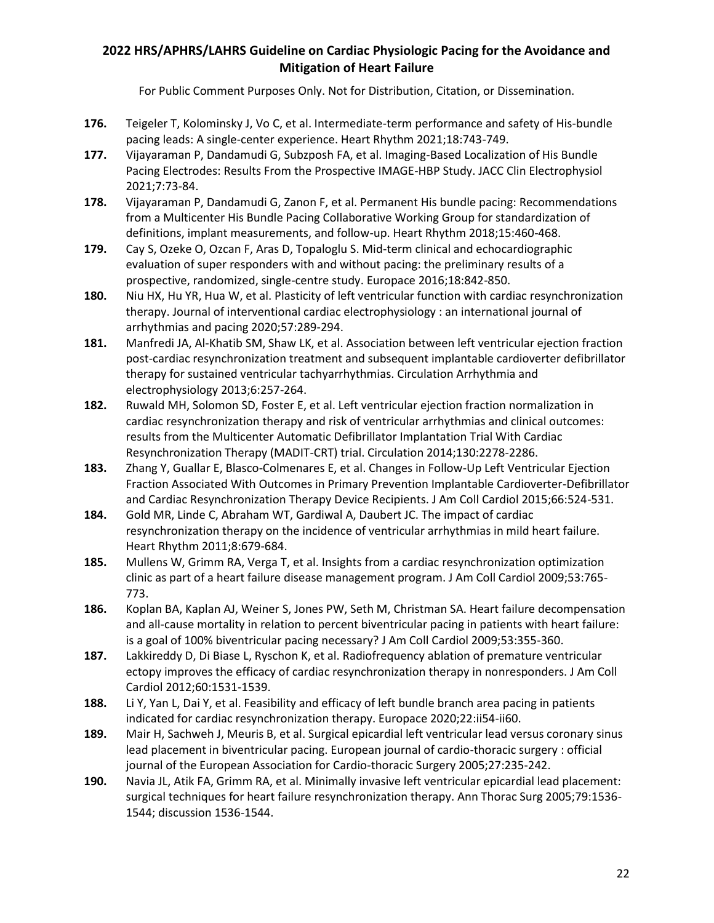- **176.** Teigeler T, Kolominsky J, Vo C, et al. Intermediate-term performance and safety of His-bundle pacing leads: A single-center experience. Heart Rhythm 2021;18:743-749.
- **177.** Vijayaraman P, Dandamudi G, Subzposh FA, et al. Imaging-Based Localization of His Bundle Pacing Electrodes: Results From the Prospective IMAGE-HBP Study. JACC Clin Electrophysiol 2021;7:73-84.
- **178.** Vijayaraman P, Dandamudi G, Zanon F, et al. Permanent His bundle pacing: Recommendations from a Multicenter His Bundle Pacing Collaborative Working Group for standardization of definitions, implant measurements, and follow-up. Heart Rhythm 2018;15:460-468.
- **179.** Cay S, Ozeke O, Ozcan F, Aras D, Topaloglu S. Mid-term clinical and echocardiographic evaluation of super responders with and without pacing: the preliminary results of a prospective, randomized, single-centre study. Europace 2016;18:842-850.
- **180.** Niu HX, Hu YR, Hua W, et al. Plasticity of left ventricular function with cardiac resynchronization therapy. Journal of interventional cardiac electrophysiology : an international journal of arrhythmias and pacing 2020;57:289-294.
- **181.** Manfredi JA, Al-Khatib SM, Shaw LK, et al. Association between left ventricular ejection fraction post-cardiac resynchronization treatment and subsequent implantable cardioverter defibrillator therapy for sustained ventricular tachyarrhythmias. Circulation Arrhythmia and electrophysiology 2013;6:257-264.
- **182.** Ruwald MH, Solomon SD, Foster E, et al. Left ventricular ejection fraction normalization in cardiac resynchronization therapy and risk of ventricular arrhythmias and clinical outcomes: results from the Multicenter Automatic Defibrillator Implantation Trial With Cardiac Resynchronization Therapy (MADIT-CRT) trial. Circulation 2014;130:2278-2286.
- **183.** Zhang Y, Guallar E, Blasco-Colmenares E, et al. Changes in Follow-Up Left Ventricular Ejection Fraction Associated With Outcomes in Primary Prevention Implantable Cardioverter-Defibrillator and Cardiac Resynchronization Therapy Device Recipients. J Am Coll Cardiol 2015;66:524-531.
- **184.** Gold MR, Linde C, Abraham WT, Gardiwal A, Daubert JC. The impact of cardiac resynchronization therapy on the incidence of ventricular arrhythmias in mild heart failure. Heart Rhythm 2011;8:679-684.
- **185.** Mullens W, Grimm RA, Verga T, et al. Insights from a cardiac resynchronization optimization clinic as part of a heart failure disease management program. J Am Coll Cardiol 2009;53:765- 773.
- **186.** Koplan BA, Kaplan AJ, Weiner S, Jones PW, Seth M, Christman SA. Heart failure decompensation and all-cause mortality in relation to percent biventricular pacing in patients with heart failure: is a goal of 100% biventricular pacing necessary? J Am Coll Cardiol 2009;53:355-360.
- **187.** Lakkireddy D, Di Biase L, Ryschon K, et al. Radiofrequency ablation of premature ventricular ectopy improves the efficacy of cardiac resynchronization therapy in nonresponders. J Am Coll Cardiol 2012;60:1531-1539.
- **188.** Li Y, Yan L, Dai Y, et al. Feasibility and efficacy of left bundle branch area pacing in patients indicated for cardiac resynchronization therapy. Europace 2020;22:ii54-ii60.
- **189.** Mair H, Sachweh J, Meuris B, et al. Surgical epicardial left ventricular lead versus coronary sinus lead placement in biventricular pacing. European journal of cardio-thoracic surgery : official journal of the European Association for Cardio-thoracic Surgery 2005;27:235-242.
- **190.** Navia JL, Atik FA, Grimm RA, et al. Minimally invasive left ventricular epicardial lead placement: surgical techniques for heart failure resynchronization therapy. Ann Thorac Surg 2005;79:1536- 1544; discussion 1536-1544.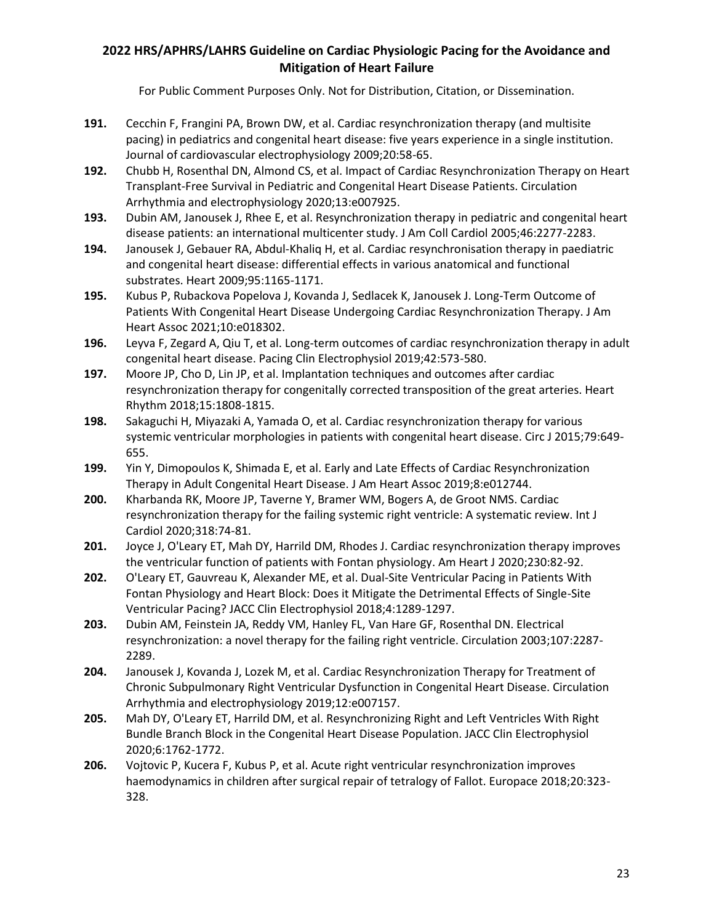- **191.** Cecchin F, Frangini PA, Brown DW, et al. Cardiac resynchronization therapy (and multisite pacing) in pediatrics and congenital heart disease: five years experience in a single institution. Journal of cardiovascular electrophysiology 2009;20:58-65.
- **192.** Chubb H, Rosenthal DN, Almond CS, et al. Impact of Cardiac Resynchronization Therapy on Heart Transplant-Free Survival in Pediatric and Congenital Heart Disease Patients. Circulation Arrhythmia and electrophysiology 2020;13:e007925.
- **193.** Dubin AM, Janousek J, Rhee E, et al. Resynchronization therapy in pediatric and congenital heart disease patients: an international multicenter study. J Am Coll Cardiol 2005;46:2277-2283.
- **194.** Janousek J, Gebauer RA, Abdul-Khaliq H, et al. Cardiac resynchronisation therapy in paediatric and congenital heart disease: differential effects in various anatomical and functional substrates. Heart 2009;95:1165-1171.
- **195.** Kubus P, Rubackova Popelova J, Kovanda J, Sedlacek K, Janousek J. Long-Term Outcome of Patients With Congenital Heart Disease Undergoing Cardiac Resynchronization Therapy. J Am Heart Assoc 2021;10:e018302.
- **196.** Leyva F, Zegard A, Qiu T, et al. Long-term outcomes of cardiac resynchronization therapy in adult congenital heart disease. Pacing Clin Electrophysiol 2019;42:573-580.
- **197.** Moore JP, Cho D, Lin JP, et al. Implantation techniques and outcomes after cardiac resynchronization therapy for congenitally corrected transposition of the great arteries. Heart Rhythm 2018;15:1808-1815.
- **198.** Sakaguchi H, Miyazaki A, Yamada O, et al. Cardiac resynchronization therapy for various systemic ventricular morphologies in patients with congenital heart disease. Circ J 2015;79:649- 655.
- **199.** Yin Y, Dimopoulos K, Shimada E, et al. Early and Late Effects of Cardiac Resynchronization Therapy in Adult Congenital Heart Disease. J Am Heart Assoc 2019;8:e012744.
- **200.** Kharbanda RK, Moore JP, Taverne Y, Bramer WM, Bogers A, de Groot NMS. Cardiac resynchronization therapy for the failing systemic right ventricle: A systematic review. Int J Cardiol 2020;318:74-81.
- **201.** Joyce J, O'Leary ET, Mah DY, Harrild DM, Rhodes J. Cardiac resynchronization therapy improves the ventricular function of patients with Fontan physiology. Am Heart J 2020;230:82-92.
- **202.** O'Leary ET, Gauvreau K, Alexander ME, et al. Dual-Site Ventricular Pacing in Patients With Fontan Physiology and Heart Block: Does it Mitigate the Detrimental Effects of Single-Site Ventricular Pacing? JACC Clin Electrophysiol 2018;4:1289-1297.
- **203.** Dubin AM, Feinstein JA, Reddy VM, Hanley FL, Van Hare GF, Rosenthal DN. Electrical resynchronization: a novel therapy for the failing right ventricle. Circulation 2003;107:2287- 2289.
- **204.** Janousek J, Kovanda J, Lozek M, et al. Cardiac Resynchronization Therapy for Treatment of Chronic Subpulmonary Right Ventricular Dysfunction in Congenital Heart Disease. Circulation Arrhythmia and electrophysiology 2019;12:e007157.
- **205.** Mah DY, O'Leary ET, Harrild DM, et al. Resynchronizing Right and Left Ventricles With Right Bundle Branch Block in the Congenital Heart Disease Population. JACC Clin Electrophysiol 2020;6:1762-1772.
- **206.** Vojtovic P, Kucera F, Kubus P, et al. Acute right ventricular resynchronization improves haemodynamics in children after surgical repair of tetralogy of Fallot. Europace 2018;20:323- 328.